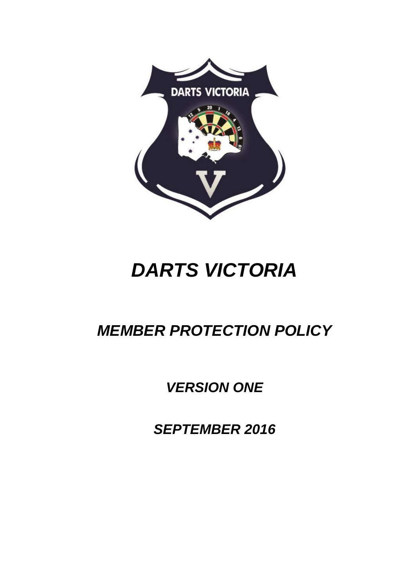

# *DARTS VICTORIA*

## *MEMBER PROTECTION POLICY*

## *VERSION ONE*

*SEPTEMBER 2016*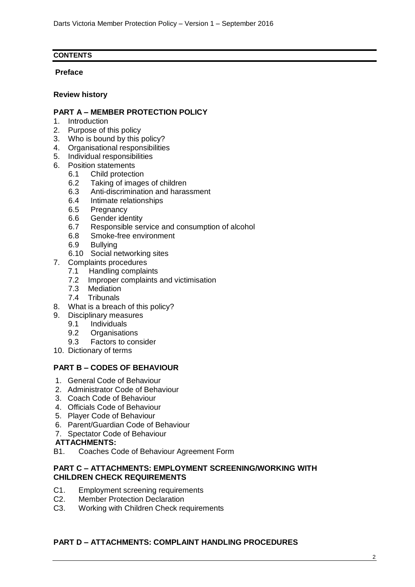## **CONTENTS**

## **Preface**

## **Review history**

## **PART A – MEMBER PROTECTION POLICY**

- 1. Introduction
- 2. Purpose of this policy
- 3. Who is bound by this policy?
- 4. Organisational responsibilities
- 5. Individual responsibilities
- 6. Position statements
	- 6.1 Child protection
	- 6.2 Taking of images of children
	- 6.3 Anti-discrimination and harassment
	- 6.4 Intimate relationships
	- 6.5 Pregnancy
	- 6.6 Gender identity
	- 6.7 Responsible service and consumption of alcohol
	- 6.8 Smoke-free environment
	- 6.9 Bullying
	- 6.10 Social networking sites
- 7. Complaints procedures
	- 7.1 Handling complaints
	- 7.2 Improper complaints and victimisation
	- 7.3 Mediation<br>7.4 Tribunals
	- **Tribunals**
- 8. What is a breach of this policy?
- 9. Disciplinary measures
	- 9.1 Individuals
	- 9.2 Organisations
	- 9.3 Factors to consider
- 10. Dictionary of terms

## **PART B – CODES OF BEHAVIOUR**

- 1. General Code of Behaviour
- 2. Administrator Code of Behaviour
- 3. Coach Code of Behaviour
- 4. Officials Code of Behaviour
- 5. Player Code of Behaviour
- 6. Parent/Guardian Code of Behaviour
- 7. Spectator Code of Behaviour

## **ATTACHMENTS:**

B1. Coaches Code of Behaviour Agreement Form

#### **PART C – ATTACHMENTS: EMPLOYMENT SCREENING/WORKING WITH CHILDREN CHECK REQUIREMENTS**

- C1. Employment screening requirements
- C2. Member Protection Declaration
- C3. Working with Children Check requirements

## **PART D – ATTACHMENTS: COMPLAINT HANDLING PROCEDURES**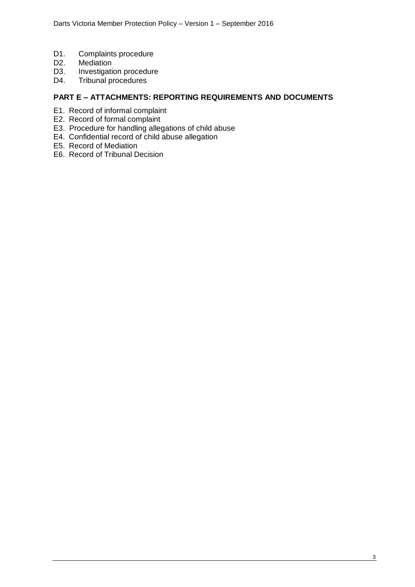- D1. Complaints procedure
- D2. Mediation
- D3. Investigation procedure
- D4. Tribunal procedures

## **PART E – ATTACHMENTS: REPORTING REQUIREMENTS AND DOCUMENTS**

- E1. Record of informal complaint
- E2. Record of formal complaint
- E3. Procedure for handling allegations of child abuse
- E4. Confidential record of child abuse allegation
- E5. Record of Mediation
- E6. Record of Tribunal Decision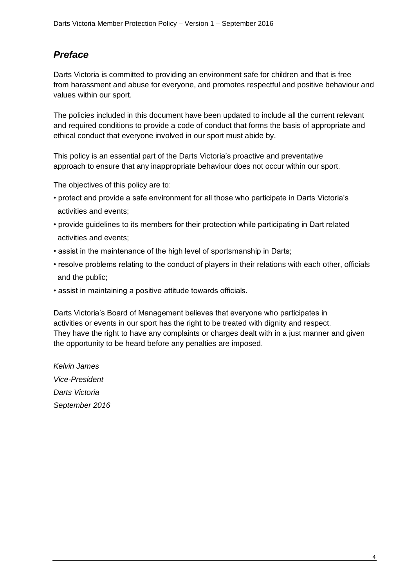## *Preface*

Darts Victoria is committed to providing an environment safe for children and that is free from harassment and abuse for everyone, and promotes respectful and positive behaviour and values within our sport.

The policies included in this document have been updated to include all the current relevant and required conditions to provide a code of conduct that forms the basis of appropriate and ethical conduct that everyone involved in our sport must abide by.

This policy is an essential part of the Darts Victoria's proactive and preventative approach to ensure that any inappropriate behaviour does not occur within our sport.

The objectives of this policy are to:

- protect and provide a safe environment for all those who participate in Darts Victoria's activities and events;
- provide guidelines to its members for their protection while participating in Dart related activities and events;
- assist in the maintenance of the high level of sportsmanship in Darts;
- resolve problems relating to the conduct of players in their relations with each other, officials and the public;
- assist in maintaining a positive attitude towards officials.

Darts Victoria's Board of Management believes that everyone who participates in activities or events in our sport has the right to be treated with dignity and respect. They have the right to have any complaints or charges dealt with in a just manner and given the opportunity to be heard before any penalties are imposed.

*Kelvin James Vice-President Darts Victoria September 2016*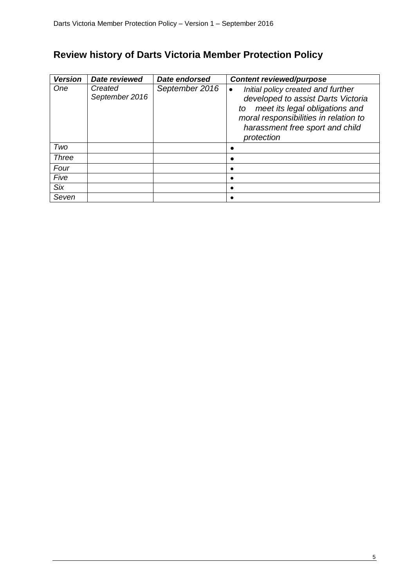## **Review history of Darts Victoria Member Protection Policy**

| <b>Version</b> | Date reviewed             | Date endorsed  | <b>Content reviewed/purpose</b>                                                                                                                                                                            |
|----------------|---------------------------|----------------|------------------------------------------------------------------------------------------------------------------------------------------------------------------------------------------------------------|
| One            | Created<br>September 2016 | September 2016 | Initial policy created and further<br>developed to assist Darts Victoria<br>meet its legal obligations and<br>to<br>moral responsibilities in relation to<br>harassment free sport and child<br>protection |
| Two            |                           |                |                                                                                                                                                                                                            |
| Three          |                           |                |                                                                                                                                                                                                            |
| Four           |                           |                |                                                                                                                                                                                                            |
| Five           |                           |                |                                                                                                                                                                                                            |
| Six            |                           |                |                                                                                                                                                                                                            |
| Seven          |                           |                |                                                                                                                                                                                                            |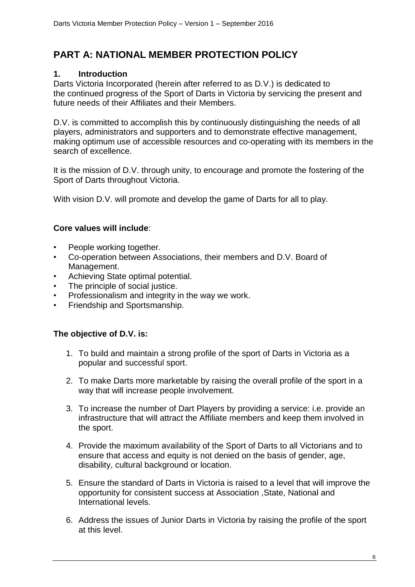## **PART A: NATIONAL MEMBER PROTECTION POLICY**

## **1. Introduction**

Darts Victoria Incorporated (herein after referred to as D.V.) is dedicated to the continued progress of the Sport of Darts in Victoria by servicing the present and future needs of their Affiliates and their Members.

D.V. is committed to accomplish this by continuously distinguishing the needs of all players, administrators and supporters and to demonstrate effective management, making optimum use of accessible resources and co-operating with its members in the search of excellence.

It is the mission of D.V. through unity, to encourage and promote the fostering of the Sport of Darts throughout Victoria.

With vision D.V. will promote and develop the game of Darts for all to play.

## **Core values will include**:

- People working together.
- Co-operation between Associations, their members and D.V. Board of Management.
- Achieving State optimal potential.
- The principle of social justice.
- Professionalism and integrity in the way we work.
- Friendship and Sportsmanship.

## **The objective of D.V. is:**

- 1. To build and maintain a strong profile of the sport of Darts in Victoria as a popular and successful sport.
- 2. To make Darts more marketable by raising the overall profile of the sport in a way that will increase people involvement.
- 3. To increase the number of Dart Players by providing a service: i.e. provide an infrastructure that will attract the Affiliate members and keep them involved in the sport.
- 4. Provide the maximum availability of the Sport of Darts to all Victorians and to ensure that access and equity is not denied on the basis of gender, age, disability, cultural background or location.
- 5. Ensure the standard of Darts in Victoria is raised to a level that will improve the opportunity for consistent success at Association ,State, National and International levels.
- 6. Address the issues of Junior Darts in Victoria by raising the profile of the sport at this level.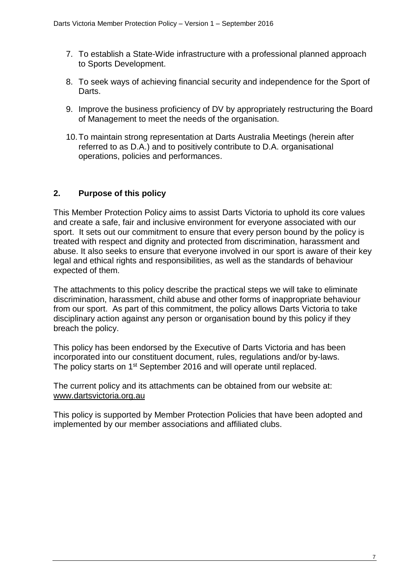- 7. To establish a State-Wide infrastructure with a professional planned approach to Sports Development.
- 8. To seek ways of achieving financial security and independence for the Sport of **Darts**
- 9. Improve the business proficiency of DV by appropriately restructuring the Board of Management to meet the needs of the organisation.
- 10.To maintain strong representation at Darts Australia Meetings (herein after referred to as D.A.) and to positively contribute to D.A. organisational operations, policies and performances.

## **2. Purpose of this policy**

This Member Protection Policy aims to assist Darts Victoria to uphold its core values and create a safe, fair and inclusive environment for everyone associated with our sport. It sets out our commitment to ensure that every person bound by the policy is treated with respect and dignity and protected from discrimination, harassment and abuse. It also seeks to ensure that everyone involved in our sport is aware of their key legal and ethical rights and responsibilities, as well as the standards of behaviour expected of them.

The attachments to this policy describe the practical steps we will take to eliminate discrimination, harassment, child abuse and other forms of inappropriate behaviour from our sport. As part of this commitment, the policy allows Darts Victoria to take disciplinary action against any person or organisation bound by this policy if they breach the policy.

This policy has been endorsed by the Executive of Darts Victoria and has been incorporated into our constituent document, rules, regulations and/or by-laws. The policy starts on 1<sup>st</sup> September 2016 and will operate until replaced.

The current policy and its attachments can be obtained from our website at: [www.dartsvictoria.org.au](http://www.dartsvictoria.org.au/)

This policy is supported by Member Protection Policies that have been adopted and implemented by our member associations and affiliated clubs.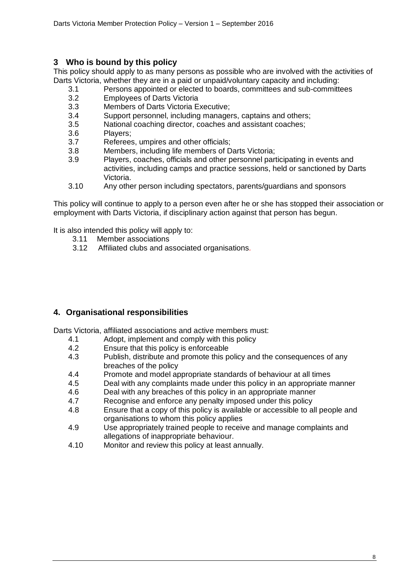## **3 Who is bound by this policy**

This policy should apply to as many persons as possible who are involved with the activities of Darts Victoria, whether they are in a paid or unpaid/voluntary capacity and including:

- 3.1 Persons appointed or elected to boards, committees and sub-committees
- 3.2 Employees of Darts Victoria
- 3.3 Members of Darts Victoria Executive;
- 3.4 Support personnel, including managers, captains and others;
- 3.5 National coaching director, coaches and assistant coaches;
- 3.6 Players;
- 3.7 Referees, umpires and other officials;
- 3.8 Members, including life members of Darts Victoria;
- 3.9 Players, coaches, officials and other personnel participating in events and activities, including camps and practice sessions, held or sanctioned by Darts Victoria.
- 3.10 Any other person including spectators, parents/guardians and sponsors

This policy will continue to apply to a person even after he or she has stopped their association or employment with Darts Victoria, if disciplinary action against that person has begun.

It is also intended this policy will apply to:

- 3.11 Member associations
- 3.12 Affiliated clubs and associated organisations*.*

## **4. Organisational responsibilities**

Darts Victoria, affiliated associations and active members must:

- 4.1 Adopt, implement and comply with this policy
- 4.2 Ensure that this policy is enforceable
- 4.3 Publish, distribute and promote this policy and the consequences of any breaches of the policy
- 4.4 Promote and model appropriate standards of behaviour at all times
- 4.5 Deal with any complaints made under this policy in an appropriate manner
- 4.6 Deal with any breaches of this policy in an appropriate manner
- 4.7 Recognise and enforce any penalty imposed under this policy
- 4.8 Ensure that a copy of this policy is available or accessible to all people and organisations to whom this policy applies
- 4.9 Use appropriately trained people to receive and manage complaints and allegations of inappropriate behaviour.
- 4.10 Monitor and review this policy at least annually.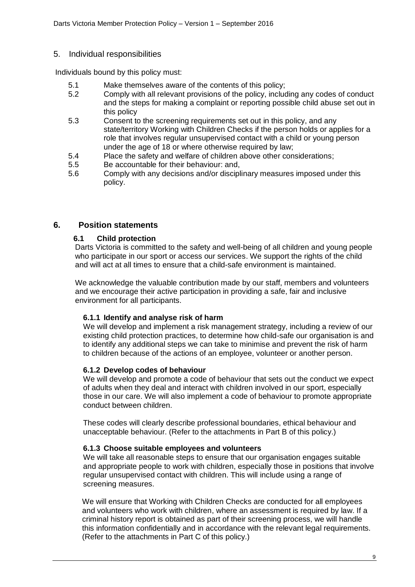## 5. Individual responsibilities

Individuals bound by this policy must:

- 5.1 Make themselves aware of the contents of this policy;
- 5.2 Comply with all relevant provisions of the policy, including any codes of conduct and the steps for making a complaint or reporting possible child abuse set out in this policy
- 5.3 Consent to the screening requirements set out in this policy, and any state/territory Working with Children Checks if the person holds or applies for a role that involves regular unsupervised contact with a child or young person under the age of 18 or where otherwise required by law;
- 5.4 Place the safety and welfare of children above other considerations;
- 5.5 Be accountable for their behaviour: and,
- 5.6 Comply with any decisions and/or disciplinary measures imposed under this policy.

## **6. Position statements**

## **6.1 Child protection**

Darts Victoria is committed to the safety and well-being of all children and young people who participate in our sport or access our services. We support the rights of the child and will act at all times to ensure that a child-safe environment is maintained.

We acknowledge the valuable contribution made by our staff, members and volunteers and we encourage their active participation in providing a safe, fair and inclusive environment for all participants.

## **6.1.1 Identify and analyse risk of harm**

We will develop and implement a risk management strategy, including a review of our existing child protection practices, to determine how child-safe our organisation is and to identify any additional steps we can take to minimise and prevent the risk of harm to children because of the actions of an employee, volunteer or another person.

#### **6.1.2 Develop codes of behaviour**

We will develop and promote a code of behaviour that sets out the conduct we expect of adults when they deal and interact with children involved in our sport, especially those in our care. We will also implement a code of behaviour to promote appropriate conduct between children.

These codes will clearly describe professional boundaries, ethical behaviour and unacceptable behaviour. (Refer to the attachments in Part B of this policy.)

#### **6.1.3 Choose suitable employees and volunteers**

We will take all reasonable steps to ensure that our organisation engages suitable and appropriate people to work with children, especially those in positions that involve regular unsupervised contact with children. This will include using a range of screening measures.

We will ensure that Working with Children Checks are conducted for all employees and volunteers who work with children, where an assessment is required by law. If a criminal history report is obtained as part of their screening process, we will handle this information confidentially and in accordance with the relevant legal requirements. (Refer to the attachments in Part C of this policy.)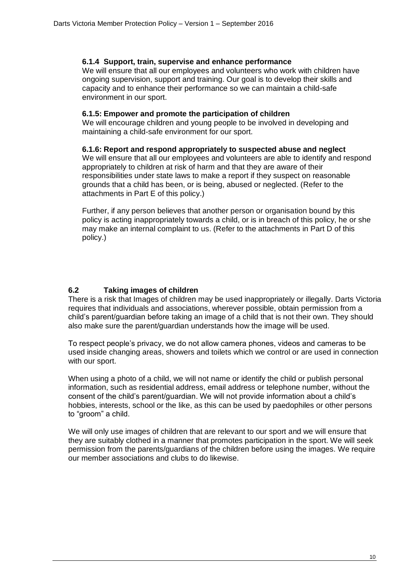## **6.1.4 Support, train, supervise and enhance performance**

We will ensure that all our employees and volunteers who work with children have ongoing supervision, support and training. Our goal is to develop their skills and capacity and to enhance their performance so we can maintain a child-safe environment in our sport.

#### **6.1.5: Empower and promote the participation of children**

We will encourage children and young people to be involved in developing and maintaining a child-safe environment for our sport.

#### **6.1.6: Report and respond appropriately to suspected abuse and neglect**

We will ensure that all our employees and volunteers are able to identify and respond appropriately to children at risk of harm and that they are aware of their responsibilities under state laws to make a report if they suspect on reasonable grounds that a child has been, or is being, abused or neglected. (Refer to the attachments in Part E of this policy.)

Further, if any person believes that another person or organisation bound by this policy is acting inappropriately towards a child, or is in breach of this policy, he or she may make an internal complaint to us. (Refer to the attachments in Part D of this policy.)

## **6.2 Taking images of children**

There is a risk that Images of children may be used inappropriately or illegally. Darts Victoria requires that individuals and associations, wherever possible, obtain permission from a child's parent/guardian before taking an image of a child that is not their own. They should also make sure the parent/guardian understands how the image will be used.

To respect people's privacy, we do not allow camera phones, videos and cameras to be used inside changing areas, showers and toilets which we control or are used in connection with our sport.

When using a photo of a child, we will not name or identify the child or publish personal information, such as residential address, email address or telephone number, without the consent of the child's parent/guardian. We will not provide information about a child's hobbies, interests, school or the like, as this can be used by paedophiles or other persons to "groom" a child.

We will only use images of children that are relevant to our sport and we will ensure that they are suitably clothed in a manner that promotes participation in the sport. We will seek permission from the parents/guardians of the children before using the images. We require our member associations and clubs to do likewise.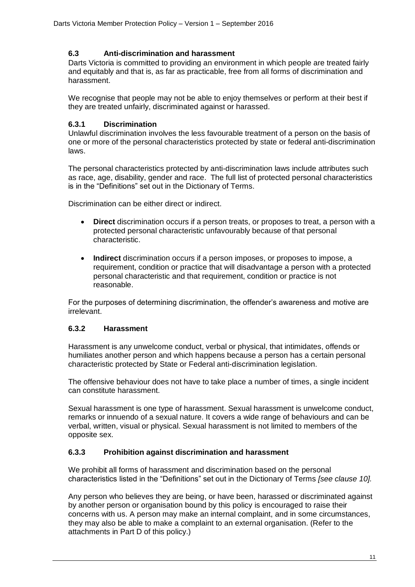## **6.3 Anti-discrimination and harassment**

Darts Victoria is committed to providing an environment in which people are treated fairly and equitably and that is, as far as practicable, free from all forms of discrimination and harassment.

We recognise that people may not be able to enjoy themselves or perform at their best if they are treated unfairly, discriminated against or harassed.

## **6.3.1 Discrimination**

Unlawful discrimination involves the less favourable treatment of a person on the basis of one or more of the personal characteristics protected by state or federal anti-discrimination laws.

The personal characteristics protected by anti-discrimination laws include attributes such as race, age, disability, gender and race. The full list of protected personal characteristics is in the "Definitions" set out in the Dictionary of Terms.

Discrimination can be either direct or indirect.

- **Direct** discrimination occurs if a person treats, or proposes to treat, a person with a protected personal characteristic unfavourably because of that personal characteristic.
- **Indirect** discrimination occurs if a person imposes, or proposes to impose, a requirement, condition or practice that will disadvantage a person with a protected personal characteristic and that requirement, condition or practice is not reasonable.

For the purposes of determining discrimination, the offender's awareness and motive are irrelevant.

## **6.3.2 Harassment**

Harassment is any unwelcome conduct, verbal or physical, that intimidates, offends or humiliates another person and which happens because a person has a certain personal characteristic protected by State or Federal anti-discrimination legislation.

The offensive behaviour does not have to take place a number of times, a single incident can constitute harassment.

Sexual harassment is one type of harassment. Sexual harassment is unwelcome conduct, remarks or innuendo of a sexual nature. It covers a wide range of behaviours and can be verbal, written, visual or physical. Sexual harassment is not limited to members of the opposite sex.

## **6.3.3 Prohibition against discrimination and harassment**

We prohibit all forms of harassment and discrimination based on the personal characteristics listed in the "Definitions" set out in the Dictionary of Terms *[see clause 10].*

Any person who believes they are being, or have been, harassed or discriminated against by another person or organisation bound by this policy is encouraged to raise their concerns with us. A person may make an internal complaint, and in some circumstances, they may also be able to make a complaint to an external organisation. (Refer to the attachments in Part D of this policy.)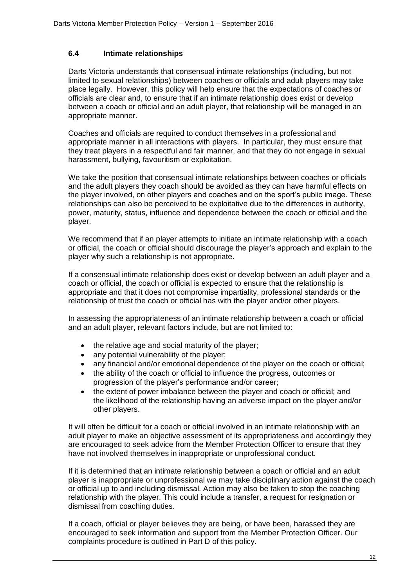## **6.4 Intimate relationships**

Darts Victoria understands that consensual intimate relationships (including, but not limited to sexual relationships) between coaches or officials and adult players may take place legally. However, this policy will help ensure that the expectations of coaches or officials are clear and, to ensure that if an intimate relationship does exist or develop between a coach or official and an adult player, that relationship will be managed in an appropriate manner.

Coaches and officials are required to conduct themselves in a professional and appropriate manner in all interactions with players. In particular, they must ensure that they treat players in a respectful and fair manner, and that they do not engage in sexual harassment, bullying, favouritism or exploitation.

We take the position that consensual intimate relationships between coaches or officials and the adult players they coach should be avoided as they can have harmful effects on the player involved, on other players and coaches and on the sport's public image. These relationships can also be perceived to be exploitative due to the differences in authority, power, maturity, status, influence and dependence between the coach or official and the player.

We recommend that if an player attempts to initiate an intimate relationship with a coach or official, the coach or official should discourage the player's approach and explain to the player why such a relationship is not appropriate.

If a consensual intimate relationship does exist or develop between an adult player and a coach or official, the coach or official is expected to ensure that the relationship is appropriate and that it does not compromise impartiality, professional standards or the relationship of trust the coach or official has with the player and/or other players.

In assessing the appropriateness of an intimate relationship between a coach or official and an adult player, relevant factors include, but are not limited to:

- the relative age and social maturity of the player;
- any potential vulnerability of the player;
- any financial and/or emotional dependence of the player on the coach or official;
- the ability of the coach or official to influence the progress, outcomes or progression of the player's performance and/or career;
- the extent of power imbalance between the player and coach or official; and the likelihood of the relationship having an adverse impact on the player and/or other players.

It will often be difficult for a coach or official involved in an intimate relationship with an adult player to make an objective assessment of its appropriateness and accordingly they are encouraged to seek advice from the Member Protection Officer to ensure that they have not involved themselves in inappropriate or unprofessional conduct.

If it is determined that an intimate relationship between a coach or official and an adult player is inappropriate or unprofessional we may take disciplinary action against the coach or official up to and including dismissal. Action may also be taken to stop the coaching relationship with the player. This could include a transfer, a request for resignation or dismissal from coaching duties.

If a coach, official or player believes they are being, or have been, harassed they are encouraged to seek information and support from the Member Protection Officer. Our complaints procedure is outlined in Part D of this policy.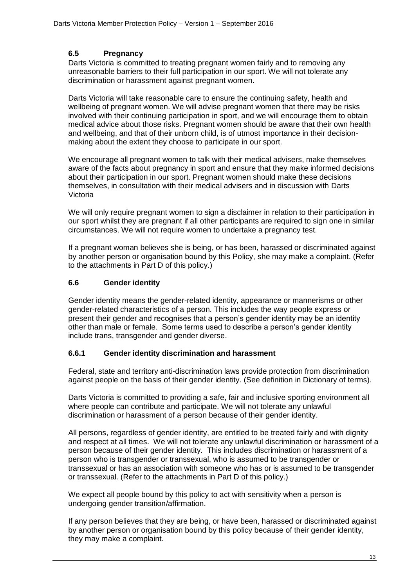## **6.5 Pregnancy**

Darts Victoria is committed to treating pregnant women fairly and to removing any unreasonable barriers to their full participation in our sport. We will not tolerate any discrimination or harassment against pregnant women.

Darts Victoria will take reasonable care to ensure the continuing safety, health and wellbeing of pregnant women. We will advise pregnant women that there may be risks involved with their continuing participation in sport, and we will encourage them to obtain medical advice about those risks. Pregnant women should be aware that their own health and wellbeing, and that of their unborn child, is of utmost importance in their decisionmaking about the extent they choose to participate in our sport.

We encourage all pregnant women to talk with their medical advisers, make themselves aware of the facts about pregnancy in sport and ensure that they make informed decisions about their participation in our sport. Pregnant women should make these decisions themselves, in consultation with their medical advisers and in discussion with Darts Victoria

We will only require pregnant women to sign a disclaimer in relation to their participation in our sport whilst they are pregnant if all other participants are required to sign one in similar circumstances. We will not require women to undertake a pregnancy test.

If a pregnant woman believes she is being, or has been, harassed or discriminated against by another person or organisation bound by this Policy, she may make a complaint. (Refer to the attachments in Part D of this policy.)

## **6.6 Gender identity**

Gender identity means the gender-related identity, appearance or mannerisms or other gender-related characteristics of a person. This includes the way people express or present their gender and recognises that a person's gender identity may be an identity other than male or female. Some terms used to describe a person's gender identity include trans, transgender and gender diverse.

## **6.6.1 Gender identity discrimination and harassment**

Federal, state and territory anti-discrimination laws provide protection from discrimination against people on the basis of their gender identity. (See definition in Dictionary of terms).

Darts Victoria is committed to providing a safe, fair and inclusive sporting environment all where people can contribute and participate. We will not tolerate any unlawful discrimination or harassment of a person because of their gender identity.

All persons, regardless of gender identity, are entitled to be treated fairly and with dignity and respect at all times. We will not tolerate any unlawful discrimination or harassment of a person because of their gender identity. This includes discrimination or harassment of a person who is transgender or transsexual, who is assumed to be transgender or transsexual or has an association with someone who has or is assumed to be transgender or transsexual. (Refer to the attachments in Part D of this policy.)

We expect all people bound by this policy to act with sensitivity when a person is undergoing gender transition/affirmation.

If any person believes that they are being, or have been, harassed or discriminated against by another person or organisation bound by this policy because of their gender identity, they may make a complaint.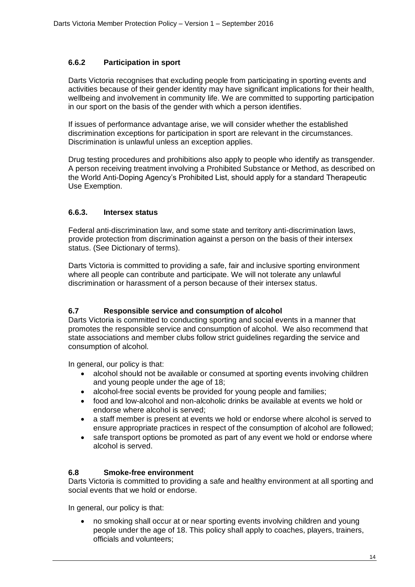## **6.6.2 Participation in sport**

Darts Victoria recognises that excluding people from participating in sporting events and activities because of their gender identity may have significant implications for their health, wellbeing and involvement in community life. We are committed to supporting participation in our sport on the basis of the gender with which a person identifies.

If issues of performance advantage arise, we will consider whether the established discrimination exceptions for participation in sport are relevant in the circumstances. Discrimination is unlawful unless an exception applies.

Drug testing procedures and prohibitions also apply to people who identify as transgender. A person receiving treatment involving a Prohibited Substance or Method, as described on the World Anti-Doping Agency's Prohibited List, should apply for a standard Therapeutic Use Exemption.

## **6.6.3. Intersex status**

Federal anti-discrimination law, and some state and territory anti-discrimination laws, provide protection from discrimination against a person on the basis of their intersex status. (See Dictionary of terms).

Darts Victoria is committed to providing a safe, fair and inclusive sporting environment where all people can contribute and participate. We will not tolerate any unlawful discrimination or harassment of a person because of their intersex status.

## **6.7 Responsible service and consumption of alcohol**

Darts Victoria is committed to conducting sporting and social events in a manner that promotes the responsible service and consumption of alcohol. We also recommend that state associations and member clubs follow strict guidelines regarding the service and consumption of alcohol.

In general, our policy is that:

- alcohol should not be available or consumed at sporting events involving children and young people under the age of 18;
- alcohol-free social events be provided for young people and families;
- food and low-alcohol and non-alcoholic drinks be available at events we hold or endorse where alcohol is served;
- a staff member is present at events we hold or endorse where alcohol is served to ensure appropriate practices in respect of the consumption of alcohol are followed;
- safe transport options be promoted as part of any event we hold or endorse where alcohol is served.

## **6.8 Smoke-free environment**

Darts Victoria is committed to providing a safe and healthy environment at all sporting and social events that we hold or endorse.

In general, our policy is that:

 no smoking shall occur at or near sporting events involving children and young people under the age of 18. This policy shall apply to coaches, players, trainers, officials and volunteers;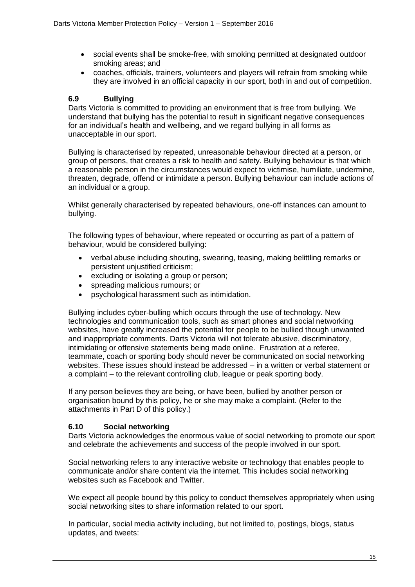- social events shall be smoke-free, with smoking permitted at designated outdoor smoking areas; and
- coaches, officials, trainers, volunteers and players will refrain from smoking while they are involved in an official capacity in our sport, both in and out of competition.

## **6.9 Bullying**

Darts Victoria is committed to providing an environment that is free from bullying. We understand that bullying has the potential to result in significant negative consequences for an individual's health and wellbeing, and we regard bullying in all forms as unacceptable in our sport.

Bullying is characterised by repeated, unreasonable behaviour directed at a person, or group of persons, that creates a risk to health and safety. Bullying behaviour is that which a reasonable person in the circumstances would expect to victimise, humiliate, undermine, threaten, degrade, offend or intimidate a person. Bullying behaviour can include actions of an individual or a group.

Whilst generally characterised by repeated behaviours, one-off instances can amount to bullying.

The following types of behaviour, where repeated or occurring as part of a pattern of behaviour, would be considered bullying:

- verbal abuse including shouting, swearing, teasing, making belittling remarks or persistent unjustified criticism;
- excluding or isolating a group or person;
- spreading malicious rumours; or
- psychological harassment such as intimidation.

Bullying includes cyber-bulling which occurs through the use of technology. New technologies and communication tools, such as smart phones and social networking websites, have greatly increased the potential for people to be bullied though unwanted and inappropriate comments. Darts Victoria will not tolerate abusive, discriminatory, intimidating or offensive statements being made online. Frustration at a referee, teammate, coach or sporting body should never be communicated on social networking websites. These issues should instead be addressed – in a written or verbal statement or a complaint – to the relevant controlling club, league or peak sporting body.

If any person believes they are being, or have been, bullied by another person or organisation bound by this policy, he or she may make a complaint. (Refer to the attachments in Part D of this policy.)

## **6.10 Social networking**

Darts Victoria acknowledges the enormous value of social networking to promote our sport and celebrate the achievements and success of the people involved in our sport.

Social networking refers to any interactive website or technology that enables people to communicate and/or share content via the internet. This includes social networking websites such as Facebook and Twitter.

We expect all people bound by this policy to conduct themselves appropriately when using social networking sites to share information related to our sport.

In particular, social media activity including, but not limited to, postings, blogs, status updates, and tweets: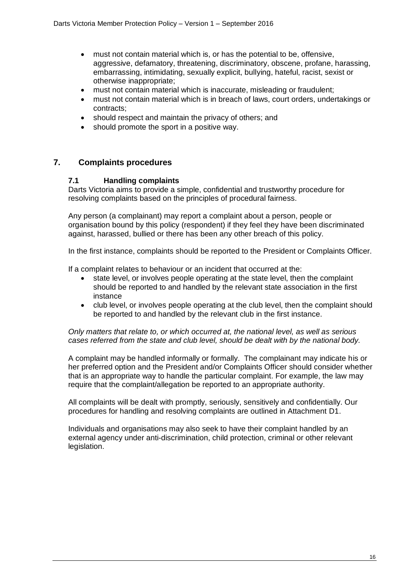- must not contain material which is, or has the potential to be, offensive, aggressive, defamatory, threatening, discriminatory, obscene, profane, harassing, embarrassing, intimidating, sexually explicit, bullying, hateful, racist, sexist or otherwise inappropriate;
- must not contain material which is inaccurate, misleading or fraudulent;
- must not contain material which is in breach of laws, court orders, undertakings or contracts;
- should respect and maintain the privacy of others; and
- should promote the sport in a positive way.

## **7. Complaints procedures**

## **7.1 Handling complaints**

Darts Victoria aims to provide a simple, confidential and trustworthy procedure for resolving complaints based on the principles of procedural fairness.

Any person (a complainant) may report a complaint about a person, people or organisation bound by this policy (respondent) if they feel they have been discriminated against, harassed, bullied or there has been any other breach of this policy.

In the first instance, complaints should be reported to the President or Complaints Officer.

If a complaint relates to behaviour or an incident that occurred at the:

- state level, or involves people operating at the state level, then the complaint should be reported to and handled by the relevant state association in the first instance
- club level, or involves people operating at the club level, then the complaint should be reported to and handled by the relevant club in the first instance.

#### *Only matters that relate to, or which occurred at, the national level, as well as serious cases referred from the state and club level, should be dealt with by the national body.*

A complaint may be handled informally or formally. The complainant may indicate his or her preferred option and the President and/or Complaints Officer should consider whether that is an appropriate way to handle the particular complaint. For example, the law may require that the complaint/allegation be reported to an appropriate authority.

All complaints will be dealt with promptly, seriously, sensitively and confidentially. Our procedures for handling and resolving complaints are outlined in Attachment D1.

Individuals and organisations may also seek to have their complaint handled by an external agency under anti-discrimination, child protection, criminal or other relevant legislation.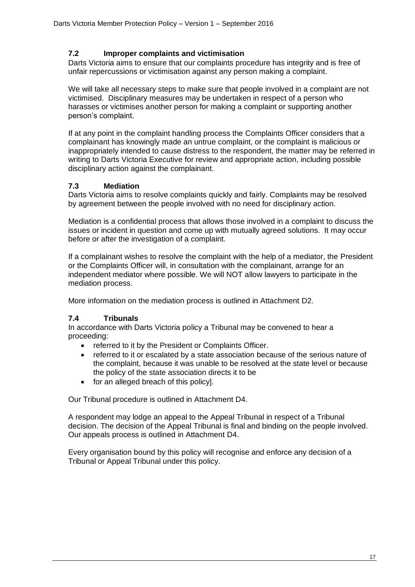## **7.2 Improper complaints and victimisation**

Darts Victoria aims to ensure that our complaints procedure has integrity and is free of unfair repercussions or victimisation against any person making a complaint.

We will take all necessary steps to make sure that people involved in a complaint are not victimised. Disciplinary measures may be undertaken in respect of a person who harasses or victimises another person for making a complaint or supporting another person's complaint.

If at any point in the complaint handling process the Complaints Officer considers that a complainant has knowingly made an untrue complaint, or the complaint is malicious or inappropriately intended to cause distress to the respondent, the matter may be referred in writing to Darts Victoria Executive for review and appropriate action, including possible disciplinary action against the complainant.

## **7.3 Mediation**

Darts Victoria aims to resolve complaints quickly and fairly. Complaints may be resolved by agreement between the people involved with no need for disciplinary action.

Mediation is a confidential process that allows those involved in a complaint to discuss the issues or incident in question and come up with mutually agreed solutions. It may occur before or after the investigation of a complaint.

If a complainant wishes to resolve the complaint with the help of a mediator, the President or the Complaints Officer will, in consultation with the complainant, arrange for an independent mediator where possible. We will NOT allow lawyers to participate in the mediation process.

More information on the mediation process is outlined in Attachment D2.

## **7.4 Tribunals**

In accordance with Darts Victoria policy a Tribunal may be convened to hear a proceeding:

- referred to it by the President or Complaints Officer.
- referred to it or escalated by a state association because of the serious nature of the complaint, because it was unable to be resolved at the state level or because the policy of the state association directs it to be
- for an alleged breach of this policyl.

Our Tribunal procedure is outlined in Attachment D4.

A respondent may lodge an appeal to the Appeal Tribunal in respect of a Tribunal decision. The decision of the Appeal Tribunal is final and binding on the people involved. Our appeals process is outlined in Attachment D4.

Every organisation bound by this policy will recognise and enforce any decision of a Tribunal or Appeal Tribunal under this policy.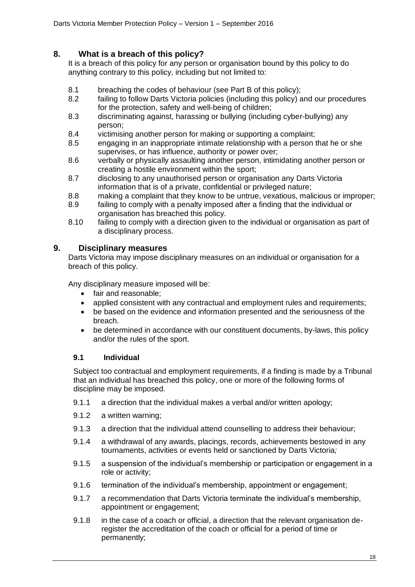## **8. What is a breach of this policy?**

It is a breach of this policy for any person or organisation bound by this policy to do anything contrary to this policy, including but not limited to:

- 8.1 breaching the codes of behaviour (see Part B of this policy);
- 8.2 failing to follow Darts Victoria policies (including this policy) and our procedures for the protection, safety and well-being of children;
- 8.3 discriminating against, harassing or bullying (including cyber-bullying) any person;
- 8.4 victimising another person for making or supporting a complaint;
- 8.5 engaging in an inappropriate intimate relationship with a person that he or she supervises, or has influence, authority or power over;
- 8.6 verbally or physically assaulting another person, intimidating another person or creating a hostile environment within the sport;
- 8.7 disclosing to any unauthorised person or organisation any Darts Victoria information that is of a private, confidential or privileged nature;
- 8.8 making a complaint that they know to be untrue, vexatious, malicious or improper;
- 8.9 failing to comply with a penalty imposed after a finding that the individual or organisation has breached this policy.
- 8.10 failing to comply with a direction given to the individual or organisation as part of a disciplinary process.

## **9. Disciplinary measures**

Darts Victoria may impose disciplinary measures on an individual or organisation for a breach of this policy.

Any disciplinary measure imposed will be:

- fair and reasonable;
- applied consistent with any contractual and employment rules and requirements;
- be based on the evidence and information presented and the seriousness of the breach.
- be determined in accordance with our constituent documents, by-laws, this policy and/or the rules of the sport.

## **9.1 Individual**

Subject too contractual and employment requirements, if a finding is made by a Tribunal that an individual has breached this policy, one or more of the following forms of discipline may be imposed.

- 9.1.1 a direction that the individual makes a verbal and/or written apology;
- 9.1.2 a written warning;
- 9.1.3 a direction that the individual attend counselling to address their behaviour;
- 9.1.4 a withdrawal of any awards, placings, records, achievements bestowed in any tournaments, activities or events held or sanctioned by Darts Victoria*;*
- 9.1.5 a suspension of the individual's membership or participation or engagement in a role or activity;
- 9.1.6 termination of the individual's membership, appointment or engagement;
- 9.1.7 a recommendation that Darts Victoria terminate the individual's membership, appointment or engagement;
- 9.1.8 in the case of a coach or official, a direction that the relevant organisation deregister the accreditation of the coach or official for a period of time or permanently;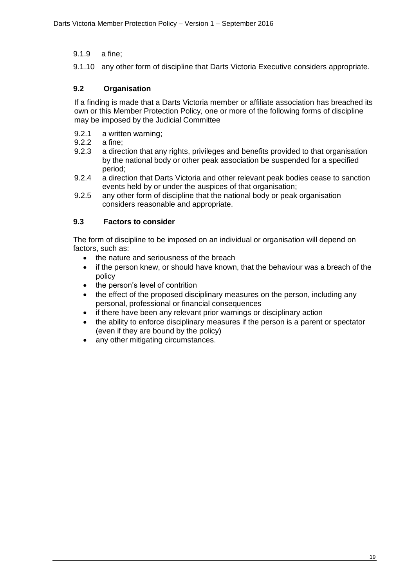## 9.1.9 a fine;

9.1.10 any other form of discipline that Darts Victoria Executive considers appropriate.

## **9.2 Organisation**

If a finding is made that a Darts Victoria member or affiliate association has breached its own or this Member Protection Policy*,* one or more of the following forms of discipline may be imposed by the Judicial Committee

- 9.2.1 a written warning;
- 9.2.2 a fine;
- 9.2.3 a direction that any rights, privileges and benefits provided to that organisation by the national body or other peak association be suspended for a specified period;
- 9.2.4 a direction that Darts Victoria and other relevant peak bodies cease to sanction events held by or under the auspices of that organisation;
- 9.2.5 any other form of discipline that the national body or peak organisation considers reasonable and appropriate.

## **9.3 Factors to consider**

The form of discipline to be imposed on an individual or organisation will depend on factors, such as:

- the nature and seriousness of the breach
- if the person knew, or should have known, that the behaviour was a breach of the policy
- the person's level of contrition
- the effect of the proposed disciplinary measures on the person, including any personal, professional or financial consequences
- if there have been any relevant prior warnings or disciplinary action
- the ability to enforce disciplinary measures if the person is a parent or spectator (even if they are bound by the policy)
- any other mitigating circumstances.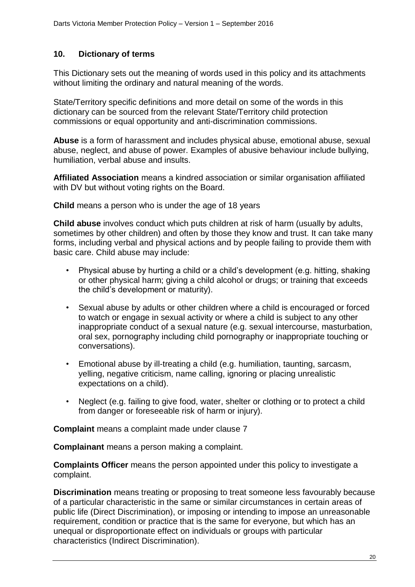## **10. Dictionary of terms**

This Dictionary sets out the meaning of words used in this policy and its attachments without limiting the ordinary and natural meaning of the words.

State/Territory specific definitions and more detail on some of the words in this dictionary can be sourced from the relevant State/Territory child protection commissions or equal opportunity and anti-discrimination commissions.

**Abuse** is a form of harassment and includes physical abuse, emotional abuse, sexual abuse, neglect, and abuse of power. Examples of abusive behaviour include bullying, humiliation, verbal abuse and insults.

**Affiliated Association** means a kindred association or similar organisation affiliated with DV but without voting rights on the Board.

**Child** means a person who is under the age of 18 years

**Child abuse** involves conduct which puts children at risk of harm (usually by adults, sometimes by other children) and often by those they know and trust. It can take many forms, including verbal and physical actions and by people failing to provide them with basic care. Child abuse may include:

- Physical abuse by hurting a child or a child's development (e.g. hitting, shaking or other physical harm; giving a child alcohol or drugs; or training that exceeds the child's development or maturity).
- Sexual abuse by adults or other children where a child is encouraged or forced to watch or engage in sexual activity or where a child is subject to any other inappropriate conduct of a sexual nature (e.g. sexual intercourse, masturbation, oral sex, pornography including child pornography or inappropriate touching or conversations).
- Emotional abuse by ill-treating a child (e.g. humiliation, taunting, sarcasm, yelling, negative criticism, name calling, ignoring or placing unrealistic expectations on a child).
- Neglect (e.g. failing to give food, water, shelter or clothing or to protect a child from danger or foreseeable risk of harm or injury).

**Complaint** means a complaint made under clause 7

**Complainant** means a person making a complaint.

**Complaints Officer** means the person appointed under this policy to investigate a complaint.

**Discrimination** means treating or proposing to treat someone less favourably because of a particular characteristic in the same or similar circumstances in certain areas of public life (Direct Discrimination), or imposing or intending to impose an unreasonable requirement, condition or practice that is the same for everyone, but which has an unequal or disproportionate effect on individuals or groups with particular characteristics (Indirect Discrimination).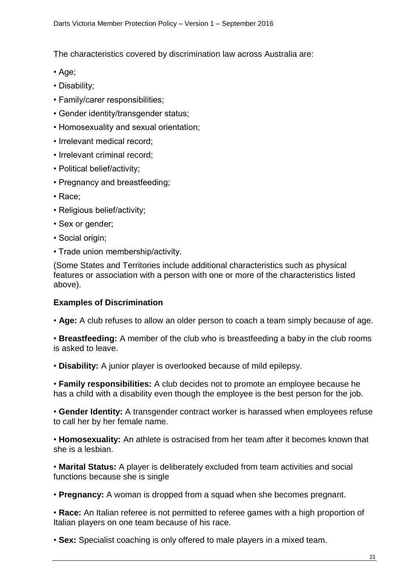The characteristics covered by discrimination law across Australia are:

- Age;
- Disability;
- Family/carer responsibilities;
- Gender identity/transgender status;
- Homosexuality and sexual orientation;
- Irrelevant medical record;
- Irrelevant criminal record;
- Political belief/activity;
- Pregnancy and breastfeeding;
- Race;
- Religious belief/activity;
- Sex or gender;
- Social origin;
- Trade union membership/activity.

(Some States and Territories include additional characteristics such as physical features or association with a person with one or more of the characteristics listed above).

## **Examples of Discrimination**

• **Age:** A club refuses to allow an older person to coach a team simply because of age.

• **Breastfeeding:** A member of the club who is breastfeeding a baby in the club rooms is asked to leave.

• **Disability:** A junior player is overlooked because of mild epilepsy.

• **Family responsibilities:** A club decides not to promote an employee because he has a child with a disability even though the employee is the best person for the job.

• **Gender Identity:** A transgender contract worker is harassed when employees refuse to call her by her female name.

• **Homosexuality:** An athlete is ostracised from her team after it becomes known that she is a lesbian.

• **Marital Status:** A player is deliberately excluded from team activities and social functions because she is single

• **Pregnancy:** A woman is dropped from a squad when she becomes pregnant.

• **Race:** An Italian referee is not permitted to referee games with a high proportion of Italian players on one team because of his race.

• **Sex:** Specialist coaching is only offered to male players in a mixed team.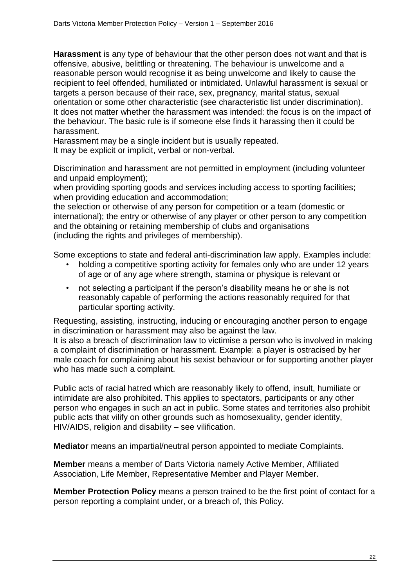**Harassment** is any type of behaviour that the other person does not want and that is offensive, abusive, belittling or threatening. The behaviour is unwelcome and a reasonable person would recognise it as being unwelcome and likely to cause the recipient to feel offended, humiliated or intimidated. Unlawful harassment is sexual or targets a person because of their race, sex, pregnancy, marital status, sexual orientation or some other characteristic (see characteristic list under discrimination). It does not matter whether the harassment was intended: the focus is on the impact of the behaviour. The basic rule is if someone else finds it harassing then it could be harassment.

Harassment may be a single incident but is usually repeated.

It may be explicit or implicit, verbal or non-verbal.

Discrimination and harassment are not permitted in employment (including volunteer and unpaid employment);

when providing sporting goods and services including access to sporting facilities; when providing education and accommodation:

the selection or otherwise of any person for competition or a team (domestic or international); the entry or otherwise of any player or other person to any competition and the obtaining or retaining membership of clubs and organisations (including the rights and privileges of membership).

Some exceptions to state and federal anti-discrimination law apply. Examples include:

- holding a competitive sporting activity for females only who are under 12 years of age or of any age where strength, stamina or physique is relevant or
- not selecting a participant if the person's disability means he or she is not reasonably capable of performing the actions reasonably required for that particular sporting activity.

Requesting, assisting, instructing, inducing or encouraging another person to engage in discrimination or harassment may also be against the law.

It is also a breach of discrimination law to victimise a person who is involved in making a complaint of discrimination or harassment. Example: a player is ostracised by her male coach for complaining about his sexist behaviour or for supporting another player who has made such a complaint.

Public acts of racial hatred which are reasonably likely to offend, insult, humiliate or intimidate are also prohibited. This applies to spectators, participants or any other person who engages in such an act in public. Some states and territories also prohibit public acts that vilify on other grounds such as homosexuality, gender identity, HIV/AIDS, religion and disability – see vilification.

**Mediator** means an impartial/neutral person appointed to mediate Complaints.

**Member** means a member of Darts Victoria namely Active Member, Affiliated Association, Life Member, Representative Member and Player Member.

**Member Protection Policy** means a person trained to be the first point of contact for a person reporting a complaint under, or a breach of, this Policy.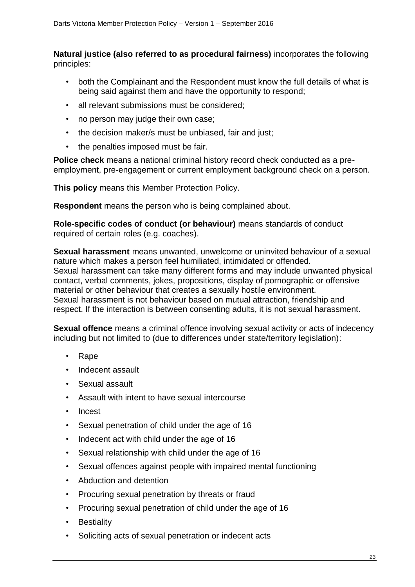**Natural justice (also referred to as procedural fairness)** incorporates the following principles:

- both the Complainant and the Respondent must know the full details of what is being said against them and have the opportunity to respond;
- all relevant submissions must be considered;
- no person may judge their own case;
- the decision maker/s must be unbiased, fair and just;
- the penalties imposed must be fair.

**Police check** means a national criminal history record check conducted as a preemployment, pre-engagement or current employment background check on a person.

**This policy** means this Member Protection Policy.

**Respondent** means the person who is being complained about.

**Role-specific codes of conduct (or behaviour)** means standards of conduct required of certain roles (e.g. coaches).

**Sexual harassment** means unwanted, unwelcome or uninvited behaviour of a sexual nature which makes a person feel humiliated, intimidated or offended. Sexual harassment can take many different forms and may include unwanted physical contact, verbal comments, jokes, propositions, display of pornographic or offensive material or other behaviour that creates a sexually hostile environment. Sexual harassment is not behaviour based on mutual attraction, friendship and respect. If the interaction is between consenting adults, it is not sexual harassment.

**Sexual offence** means a criminal offence involving sexual activity or acts of indecency including but not limited to (due to differences under state/territory legislation):

- Rape
- Indecent assault
- Sexual assault
- Assault with intent to have sexual intercourse
- Incest
- Sexual penetration of child under the age of 16
- Indecent act with child under the age of 16
- Sexual relationship with child under the age of 16
- Sexual offences against people with impaired mental functioning
- Abduction and detention
- Procuring sexual penetration by threats or fraud
- Procuring sexual penetration of child under the age of 16
- Bestiality
- Soliciting acts of sexual penetration or indecent acts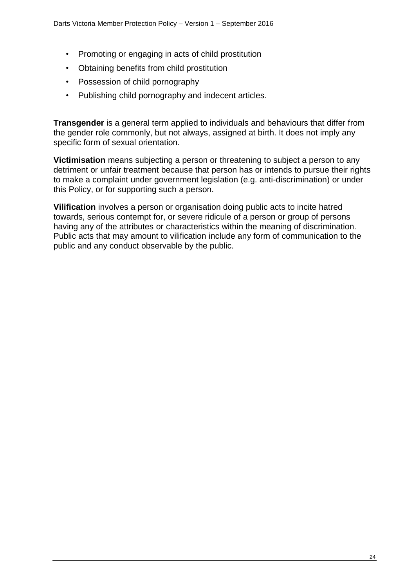- Promoting or engaging in acts of child prostitution
- Obtaining benefits from child prostitution
- Possession of child pornography
- Publishing child pornography and indecent articles.

**Transgender** is a general term applied to individuals and behaviours that differ from the gender role commonly, but not always, assigned at birth. It does not imply any specific form of sexual orientation.

**Victimisation** means subjecting a person or threatening to subject a person to any detriment or unfair treatment because that person has or intends to pursue their rights to make a complaint under government legislation (e.g. anti-discrimination) or under this Policy, or for supporting such a person.

**Vilification** involves a person or organisation doing public acts to incite hatred towards, serious contempt for, or severe ridicule of a person or group of persons having any of the attributes or characteristics within the meaning of discrimination. Public acts that may amount to vilification include any form of communication to the public and any conduct observable by the public.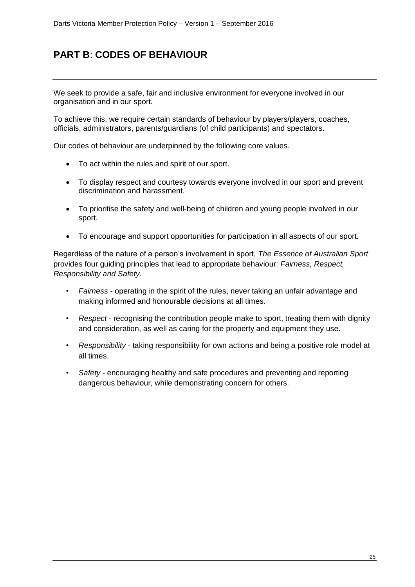## **PART B**: **CODES OF BEHAVIOUR**

We seek to provide a safe, fair and inclusive environment for everyone involved in our organisation and in our sport.

To achieve this, we require certain standards of behaviour by players/players, coaches, officials, administrators, parents/guardians (of child participants) and spectators.

Our codes of behaviour are underpinned by the following core values.

- To act within the rules and spirit of our sport.
- To display respect and courtesy towards everyone involved in our sport and prevent discrimination and harassment.
- To prioritise the safety and well-being of children and young people involved in our sport.
- To encourage and support opportunities for participation in all aspects of our sport.

Regardless of the nature of a person's involvement in sport, *The Essence of Australian Sport*  provides four guiding principles that lead to appropriate behaviour: *Fairness, Respect, Responsibility and Safety.*

- *Fairness*  operating in the spirit of the rules, never taking an unfair advantage and making informed and honourable decisions at all times.
- *Respect* recognising the contribution people make to sport, treating them with dignity and consideration, as well as caring for the property and equipment they use.
- *Responsibility* taking responsibility for own actions and being a positive role model at all times.
- *Safety*  encouraging healthy and safe procedures and preventing and reporting dangerous behaviour, while demonstrating concern for others.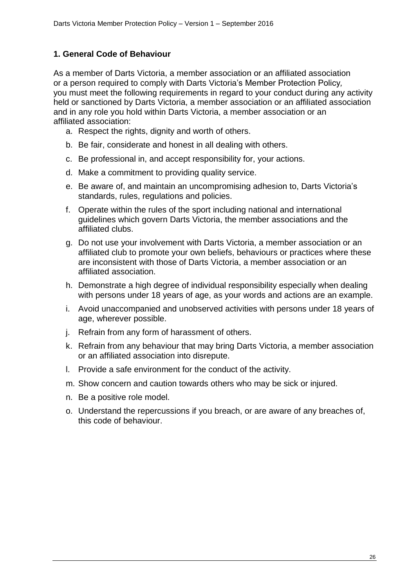## **1. General Code of Behaviour**

As a member of Darts Victoria, a member association or an affiliated association or a person required to comply with Darts Victoria's Member Protection Policy*,* you must meet the following requirements in regard to your conduct during any activity held or sanctioned by Darts Victoria, a member association or an affiliated association and in any role you hold within Darts Victoria, a member association or an affiliated association:

- a. Respect the rights, dignity and worth of others.
- b. Be fair, considerate and honest in all dealing with others.
- c. Be professional in, and accept responsibility for, your actions.
- d. Make a commitment to providing quality service.
- e. Be aware of, and maintain an uncompromising adhesion to, Darts Victoria's standards, rules, regulations and policies.
- f. Operate within the rules of the sport including national and international guidelines which govern Darts Victoria, the member associations and the affiliated clubs.
- g. Do not use your involvement with Darts Victoria, a member association or an affiliated club to promote your own beliefs, behaviours or practices where these are inconsistent with those of Darts Victoria, a member association or an affiliated association.
- h. Demonstrate a high degree of individual responsibility especially when dealing with persons under 18 years of age, as your words and actions are an example.
- i. Avoid unaccompanied and unobserved activities with persons under 18 years of age, wherever possible.
- j. Refrain from any form of harassment of others.
- k. Refrain from any behaviour that may bring Darts Victoria, a member association or an affiliated association into disrepute.
- l. Provide a safe environment for the conduct of the activity.
- m. Show concern and caution towards others who may be sick or injured.
- n. Be a positive role model.
- o. Understand the repercussions if you breach, or are aware of any breaches of, this code of behaviour.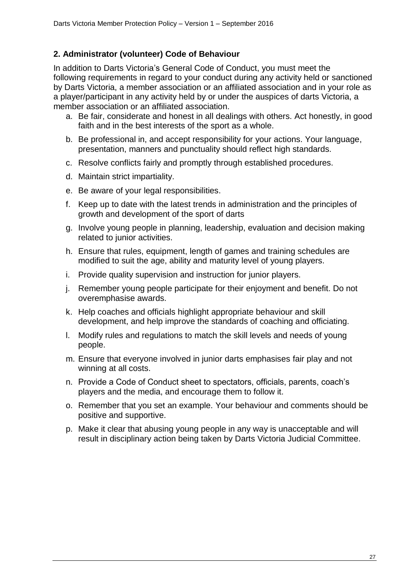## **2. Administrator (volunteer) Code of Behaviour**

In addition to Darts Victoria's General Code of Conduct, you must meet the following requirements in regard to your conduct during any activity held or sanctioned by Darts Victoria, a member association or an affiliated association and in your role as a player/participant in any activity held by or under the auspices of darts Victoria, a member association or an affiliated association.

- a. Be fair, considerate and honest in all dealings with others. Act honestly, in good faith and in the best interests of the sport as a whole.
- b. Be professional in, and accept responsibility for your actions. Your language, presentation, manners and punctuality should reflect high standards.
- c. Resolve conflicts fairly and promptly through established procedures.
- d. Maintain strict impartiality.
- e. Be aware of your legal responsibilities.
- f. Keep up to date with the latest trends in administration and the principles of growth and development of the sport of darts
- g. Involve young people in planning, leadership, evaluation and decision making related to junior activities.
- h. Ensure that rules, equipment, length of games and training schedules are modified to suit the age, ability and maturity level of young players.
- i. Provide quality supervision and instruction for junior players.
- j. Remember young people participate for their enjoyment and benefit. Do not overemphasise awards.
- k. Help coaches and officials highlight appropriate behaviour and skill development, and help improve the standards of coaching and officiating.
- l. Modify rules and regulations to match the skill levels and needs of young people.
- m. Ensure that everyone involved in junior darts emphasises fair play and not winning at all costs.
- n. Provide a Code of Conduct sheet to spectators, officials, parents, coach's players and the media, and encourage them to follow it.
- o. Remember that you set an example. Your behaviour and comments should be positive and supportive.
- p. Make it clear that abusing young people in any way is unacceptable and will result in disciplinary action being taken by Darts Victoria Judicial Committee.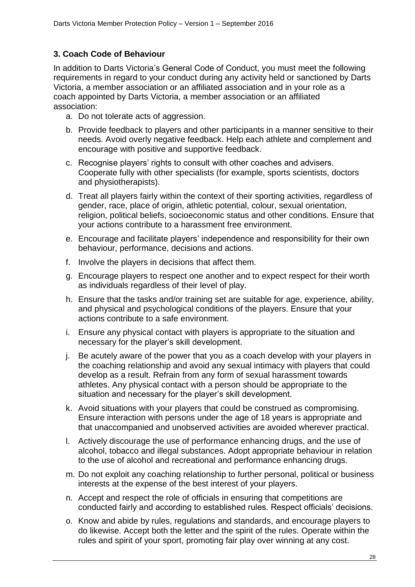## **3. Coach Code of Behaviour**

In addition to Darts Victoria's General Code of Conduct, you must meet the following requirements in regard to your conduct during any activity held or sanctioned by Darts Victoria, a member association or an affiliated association and in your role as a coach appointed by Darts Victoria, a member association or an affiliated association:

- a. Do not tolerate acts of aggression.
- b. Provide feedback to players and other participants in a manner sensitive to their needs. Avoid overly negative feedback. Help each athlete and complement and encourage with positive and supportive feedback.
- c. Recognise players' rights to consult with other coaches and advisers. Cooperate fully with other specialists (for example, sports scientists, doctors and physiotherapists).
- d. Treat all players fairly within the context of their sporting activities, regardless of gender, race, place of origin, athletic potential, colour, sexual orientation, religion, political beliefs, socioeconomic status and other conditions. Ensure that your actions contribute to a harassment free environment.
- e. Encourage and facilitate players' independence and responsibility for their own behaviour, performance, decisions and actions.
- f. Involve the players in decisions that affect them.
- g. Encourage players to respect one another and to expect respect for their worth as individuals regardless of their level of play.
- h. Ensure that the tasks and/or training set are suitable for age, experience, ability, and physical and psychological conditions of the players. Ensure that your actions contribute to a safe environment.
- i. Ensure any physical contact with players is appropriate to the situation and necessary for the player's skill development.
- j. Be acutely aware of the power that you as a coach develop with your players in the coaching relationship and avoid any sexual intimacy with players that could develop as a result. Refrain from any form of sexual harassment towards athletes. Any physical contact with a person should be appropriate to the situation and necessary for the player's skill development.
- k. Avoid situations with your players that could be construed as compromising. Ensure interaction with persons under the age of 18 years is appropriate and that unaccompanied and unobserved activities are avoided wherever practical.
- l. Actively discourage the use of performance enhancing drugs, and the use of alcohol, tobacco and illegal substances. Adopt appropriate behaviour in relation to the use of alcohol and recreational and performance enhancing drugs.
- m. Do not exploit any coaching relationship to further personal, political or business interests at the expense of the best interest of your players.
- n. Accept and respect the role of officials in ensuring that competitions are conducted fairly and according to established rules. Respect officials' decisions.
- o. Know and abide by rules, regulations and standards, and encourage players to do likewise. Accept both the letter and the spirit of the rules. Operate within the rules and spirit of your sport, promoting fair play over winning at any cost.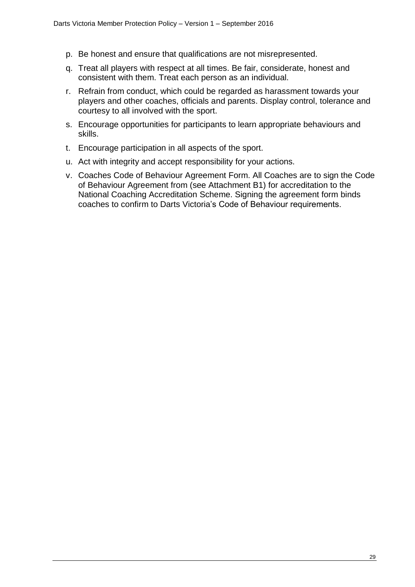- p. Be honest and ensure that qualifications are not misrepresented.
- q. Treat all players with respect at all times. Be fair, considerate, honest and consistent with them. Treat each person as an individual.
- r. Refrain from conduct, which could be regarded as harassment towards your players and other coaches, officials and parents. Display control, tolerance and courtesy to all involved with the sport.
- s. Encourage opportunities for participants to learn appropriate behaviours and skills.
- t. Encourage participation in all aspects of the sport.
- u. Act with integrity and accept responsibility for your actions.
- v. Coaches Code of Behaviour Agreement Form. All Coaches are to sign the Code of Behaviour Agreement from (see Attachment B1) for accreditation to the National Coaching Accreditation Scheme. Signing the agreement form binds coaches to confirm to Darts Victoria's Code of Behaviour requirements.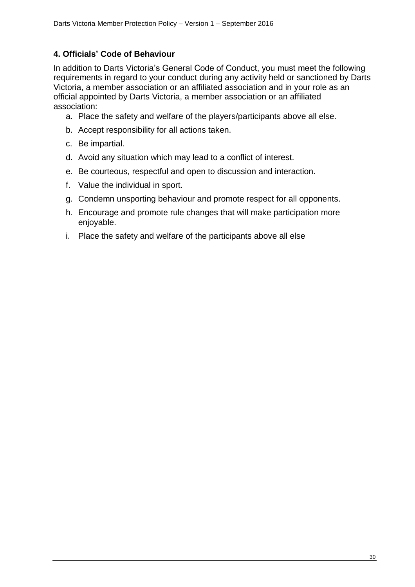## **4. Officials' Code of Behaviour**

In addition to Darts Victoria's General Code of Conduct, you must meet the following requirements in regard to your conduct during any activity held or sanctioned by Darts Victoria, a member association or an affiliated association and in your role as an official appointed by Darts Victoria, a member association or an affiliated association:

- a. Place the safety and welfare of the players/participants above all else.
- b. Accept responsibility for all actions taken.
- c. Be impartial.
- d. Avoid any situation which may lead to a conflict of interest.
- e. Be courteous, respectful and open to discussion and interaction.
- f. Value the individual in sport.
- g. Condemn unsporting behaviour and promote respect for all opponents.
- h. Encourage and promote rule changes that will make participation more enjoyable.
- i. Place the safety and welfare of the participants above all else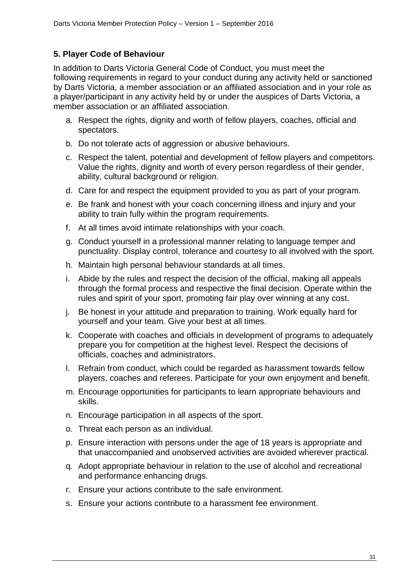## **5. Player Code of Behaviour**

In addition to Darts Victoria General Code of Conduct, you must meet the following requirements in regard to your conduct during any activity held or sanctioned by Darts Victoria, a member association or an affiliated association and in your role as a player/participant in any activity held by or under the auspices of Darts Victoria, a member association or an affiliated association.

- a. Respect the rights, dignity and worth of fellow players, coaches, official and spectators.
- b. Do not tolerate acts of aggression or abusive behaviours.
- c. Respect the talent, potential and development of fellow players and competitors. Value the rights, dignity and worth of every person regardless of their gender, ability, cultural background or religion.
- d. Care for and respect the equipment provided to you as part of your program.
- e. Be frank and honest with your coach concerning illness and injury and your ability to train fully within the program requirements.
- f. At all times avoid intimate relationships with your coach.
- g. Conduct yourself in a professional manner relating to language temper and punctuality. Display control, tolerance and courtesy to all involved with the sport.
- h. Maintain high personal behaviour standards at all times.
- i. Abide by the rules and respect the decision of the official, making all appeals through the formal process and respective the final decision. Operate within the rules and spirit of your sport, promoting fair play over winning at any cost.
- j. Be honest in your attitude and preparation to training. Work equally hard for yourself and your team. Give your best at all times.
- k. Cooperate with coaches and officials in development of programs to adequately prepare you for competition at the highest level. Respect the decisions of officials, coaches and administrators.
- l. Refrain from conduct, which could be regarded as harassment towards fellow players, coaches and referees. Participate for your own enjoyment and benefit.
- m. Encourage opportunities for participants to learn appropriate behaviours and skills.
- n. Encourage participation in all aspects of the sport.
- o. Threat each person as an individual.
- p. Ensure interaction with persons under the age of 18 years is appropriate and that unaccompanied and unobserved activities are avoided wherever practical.
- q. Adopt appropriate behaviour in relation to the use of alcohol and recreational and performance enhancing drugs.
- r. Ensure your actions contribute to the safe environment.
- s. Ensure your actions contribute to a harassment fee environment.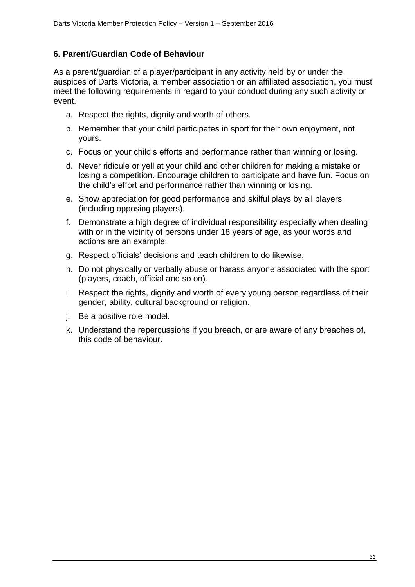## **6. Parent/Guardian Code of Behaviour**

As a parent/guardian of a player/participant in any activity held by or under the auspices of Darts Victoria, a member association or an affiliated association, you must meet the following requirements in regard to your conduct during any such activity or event.

- a. Respect the rights, dignity and worth of others.
- b. Remember that your child participates in sport for their own enjoyment, not yours.
- c. Focus on your child's efforts and performance rather than winning or losing.
- d. Never ridicule or yell at your child and other children for making a mistake or losing a competition. Encourage children to participate and have fun. Focus on the child's effort and performance rather than winning or losing.
- e. Show appreciation for good performance and skilful plays by all players (including opposing players).
- f. Demonstrate a high degree of individual responsibility especially when dealing with or in the vicinity of persons under 18 years of age, as your words and actions are an example.
- g. Respect officials' decisions and teach children to do likewise.
- h. Do not physically or verbally abuse or harass anyone associated with the sport (players, coach, official and so on).
- i. Respect the rights, dignity and worth of every young person regardless of their gender, ability, cultural background or religion.
- j. Be a positive role model.
- k. Understand the repercussions if you breach, or are aware of any breaches of, this code of behaviour.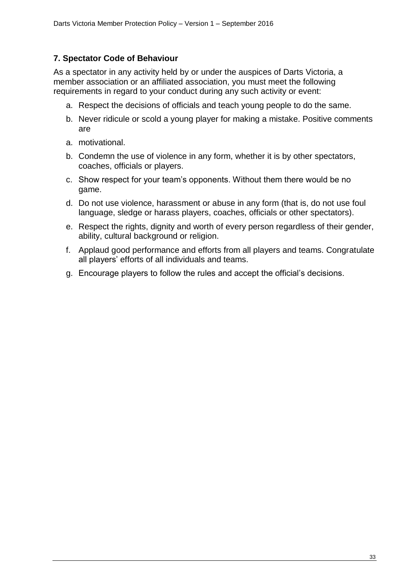## **7. Spectator Code of Behaviour**

As a spectator in any activity held by or under the auspices of Darts Victoria, a member association or an affiliated association, you must meet the following requirements in regard to your conduct during any such activity or event:

- a. Respect the decisions of officials and teach young people to do the same.
- b. Never ridicule or scold a young player for making a mistake. Positive comments are
- a. motivational.
- b. Condemn the use of violence in any form, whether it is by other spectators, coaches, officials or players.
- c. Show respect for your team's opponents. Without them there would be no game.
- d. Do not use violence, harassment or abuse in any form (that is, do not use foul language, sledge or harass players, coaches, officials or other spectators).
- e. Respect the rights, dignity and worth of every person regardless of their gender, ability, cultural background or religion.
- f. Applaud good performance and efforts from all players and teams. Congratulate all players' efforts of all individuals and teams.
- g. Encourage players to follow the rules and accept the official's decisions.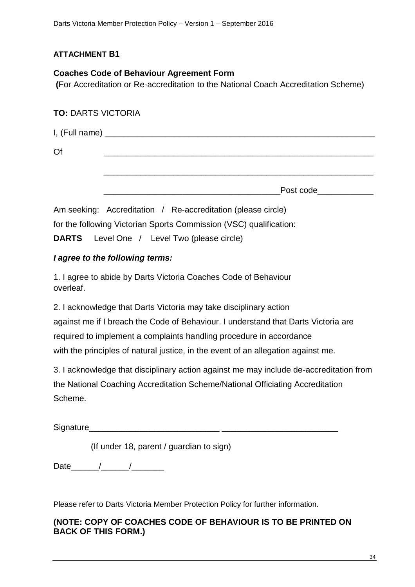## **ATTACHMENT B1**

## **Coaches Code of Behaviour Agreement Form**

**(**For Accreditation or Re-accreditation to the National Coach Accreditation Scheme)

## **TO:** DARTS VICTORIA

| Of |           |
|----|-----------|
|    |           |
|    | Post code |

Am seeking: Accreditation / Re-accreditation (please circle) for the following Victorian Sports Commission (VSC) qualification:

**DARTS** Level One / Level Two (please circle)

## *I agree to the following terms:*

1. I agree to abide by Darts Victoria Coaches Code of Behaviour overleaf.

2. I acknowledge that Darts Victoria may take disciplinary action against me if I breach the Code of Behaviour. I understand that Darts Victoria are required to implement a complaints handling procedure in accordance with the principles of natural justice, in the event of an allegation against me.

3. I acknowledge that disciplinary action against me may include de-accreditation from the National Coaching Accreditation Scheme/National Officiating Accreditation Scheme.

Signature

(If under 18, parent / guardian to sign)

Date  $/$  /  $/$ 

Please refer to Darts Victoria Member Protection Policy for further information.

## **(NOTE: COPY OF COACHES CODE OF BEHAVIOUR IS TO BE PRINTED ON BACK OF THIS FORM.)**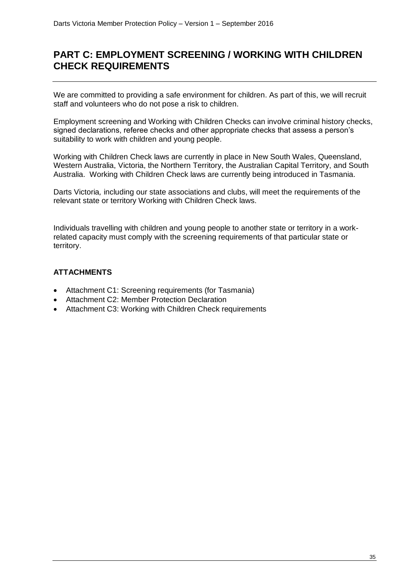## **PART C: EMPLOYMENT SCREENING / WORKING WITH CHILDREN CHECK REQUIREMENTS**

We are committed to providing a safe environment for children. As part of this, we will recruit staff and volunteers who do not pose a risk to children.

Employment screening and Working with Children Checks can involve criminal history checks, signed declarations, referee checks and other appropriate checks that assess a person's suitability to work with children and young people.

Working with Children Check laws are currently in place in New South Wales, Queensland, Western Australia, Victoria, the Northern Territory, the Australian Capital Territory, and South Australia. Working with Children Check laws are currently being introduced in Tasmania.

Darts Victoria*,* including our state associations and clubs, will meet the requirements of the relevant state or territory Working with Children Check laws.

Individuals travelling with children and young people to another state or territory in a workrelated capacity must comply with the screening requirements of that particular state or territory.

## **ATTACHMENTS**

- Attachment C1: Screening requirements (for Tasmania)
- Attachment C2: Member Protection Declaration
- Attachment C3: Working with Children Check requirements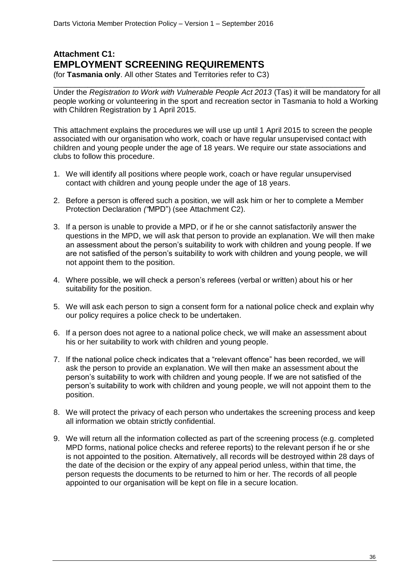## **Attachment C1: EMPLOYMENT SCREENING REQUIREMENTS**

(for **Tasmania only**. All other States and Territories refer to C3)

\_\_\_\_\_\_\_\_\_\_\_\_\_\_\_\_\_\_\_\_\_\_\_\_\_\_\_\_\_\_\_\_\_\_\_\_\_\_\_\_\_\_\_\_\_\_\_\_\_\_\_\_\_\_\_\_\_\_\_\_\_\_\_\_\_\_\_\_\_\_\_\_\_ Under the *Registration to Work with Vulnerable People Act 2013* (Tas) it will be mandatory for all people working or volunteering in the sport and recreation sector in Tasmania to hold a Working with Children Registration by 1 April 2015.

This attachment explains the procedures we will use up until 1 April 2015 to screen the people associated with our organisation who work, coach or have regular unsupervised contact with children and young people under the age of 18 years. We require our state associations and clubs to follow this procedure.

- 1. We will identify all positions where people work, coach or have regular unsupervised contact with children and young people under the age of 18 years.
- 2. Before a person is offered such a position, we will ask him or her to complete a Member Protection Declaration *("*MPD") (see Attachment C2).
- 3. If a person is unable to provide a MPD, or if he or she cannot satisfactorily answer the questions in the MPD, we will ask that person to provide an explanation. We will then make an assessment about the person's suitability to work with children and young people. If we are not satisfied of the person's suitability to work with children and young people, we will not appoint them to the position.
- 4. Where possible, we will check a person's referees (verbal or written) about his or her suitability for the position.
- 5. We will ask each person to sign a consent form for a national police check and explain why our policy requires a police check to be undertaken.
- 6. If a person does not agree to a national police check, we will make an assessment about his or her suitability to work with children and young people.
- 7. If the national police check indicates that a "relevant offence" has been recorded, we will ask the person to provide an explanation. We will then make an assessment about the person's suitability to work with children and young people. If we are not satisfied of the person's suitability to work with children and young people, we will not appoint them to the position.
- 8. We will protect the privacy of each person who undertakes the screening process and keep all information we obtain strictly confidential.
- 9. We will return all the information collected as part of the screening process (e.g. completed MPD forms, national police checks and referee reports) to the relevant person if he or she is not appointed to the position. Alternatively, all records will be destroyed within 28 days of the date of the decision or the expiry of any appeal period unless, within that time, the person requests the documents to be returned to him or her. The records of all people appointed to our organisation will be kept on file in a secure location.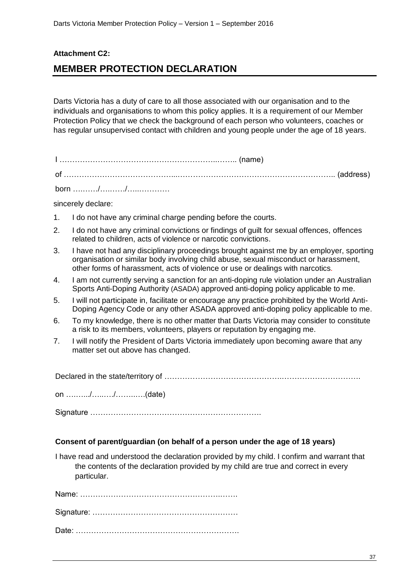## **Attachment C2: MEMBER PROTECTION DECLARATION**

Darts Victoria has a duty of care to all those associated with our organisation and to the individuals and organisations to whom this policy applies. It is a requirement of our Member Protection Policy that we check the background of each person who volunteers, coaches or has regular unsupervised contact with children and young people under the age of 18 years.

I ……………………………………………………..…….. (name) of ……………………………………...…………………………………………………….. (address) born ….……/….……/…..…………

sincerely declare:

- 1. I do not have any criminal charge pending before the courts.
- 2. I do not have any criminal convictions or findings of guilt for sexual offences, offences related to children, acts of violence or narcotic convictions.
- 3. I have not had any disciplinary proceedings brought against me by an employer, sporting organisation or similar body involving child abuse, sexual misconduct or harassment, other forms of harassment, acts of violence or use or dealings with narcotics*.*
- 4. I am not currently serving a sanction for an anti-doping rule violation under an Australian Sports Anti-Doping Authority (ASADA) approved anti-doping policy applicable to me.
- 5. I will not participate in, facilitate or encourage any practice prohibited by the World Anti-Doping Agency Code or any other ASADA approved anti-doping policy applicable to me.
- 6. To my knowledge, there is no other matter that Darts Victoria may consider to constitute a risk to its members, volunteers, players or reputation by engaging me.
- 7. I will notify the President of Darts Victoria immediately upon becoming aware that any matter set out above has changed.

Declared in the state/territory of ……………………………………….………………………….

on ….….../…..…./……..….(date)

Signature ………………………………………………………….

## **Consent of parent/guardian (on behalf of a person under the age of 18 years)**

I have read and understood the declaration provided by my child. I confirm and warrant that the contents of the declaration provided by my child are true and correct in every particular.

Name: ……………………………………………….……. Signature: ………………………………………………… Date: ……………………………………………………….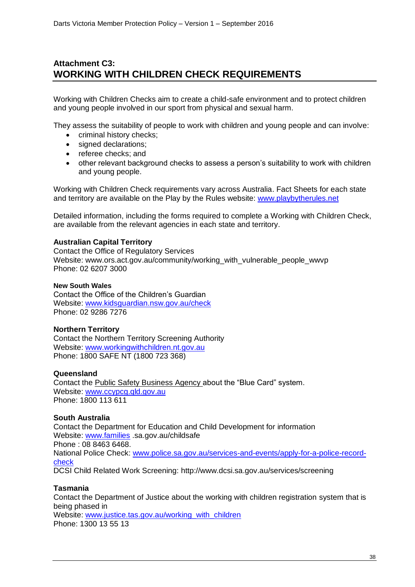## **Attachment C3: WORKING WITH CHILDREN CHECK REQUIREMENTS**

Working with Children Checks aim to create a child-safe environment and to protect children and young people involved in our sport from physical and sexual harm.

They assess the suitability of people to work with children and young people and can involve:

- criminal history checks:
- signed declarations:
- referee checks; and
- other relevant background checks to assess a person's suitability to work with children and young people.

Working with Children Check requirements vary across Australia. [Fact Sheets](http://www.playbytherules.net.au/legal-stuff/child-protection/child-protection-laws-explained/screening) for each state and territory are available on the Play by the Rules website: [www.playbytherules.net](http://www.playbytherules.net/)

Detailed information, including the forms required to complete a Working with Children Check, are available from the relevant agencies in each state and territory.

#### **Australian Capital Territory**

Contact the Office of Regulatory Services Website: www.ors.act.gov.au/community/working\_with\_vulnerable\_people\_wwvp Phone: 02 6207 3000

#### **New South Wales**

Contact the Office of the Children's Guardian Website: [www.kidsguardian.nsw.gov.au/](http://www.kidsguardian.nsw.gov.au/)check Phone: 02 9286 7276

## **Northern Territory**

Contact the Northern Territory Screening Authority Website: [www.workingwithchildren.nt.gov.au](http://www.workingwithchildren.nt.gov.au/) Phone: 1800 SAFE NT (1800 723 368)

#### **Queensland**

Contact the Public Safety Business Agency about the "Blue Card" system. Website: [www.ccypcg.qld.gov.au](http://www.ccypcg.qld.gov.au/) Phone: 1800 113 611

## **South Australia**

Contact the Department for Education and Child Development for information Website: [www.families](http://www.families/) .sa.gov.au/childsafe Phone : 08 8463 6468. National Police Check: [www.police.sa.gov.au/services-and-events/apply-for-a-police-record](http://www.police.sa.gov.au/services-and-events/apply-for-a-police-record-check)[check](http://www.police.sa.gov.au/services-and-events/apply-for-a-police-record-check) DCSI Child Related Work Screening: http://www.dcsi.sa.gov.au/services/screening

## **Tasmania**

Contact the Department of Justice about the working with children registration system that is being phased in Website: [www.justice.tas.gov.au/working\\_with\\_children](http://www.justice.tas.gov.au/working_with_children) Phone: 1300 13 55 13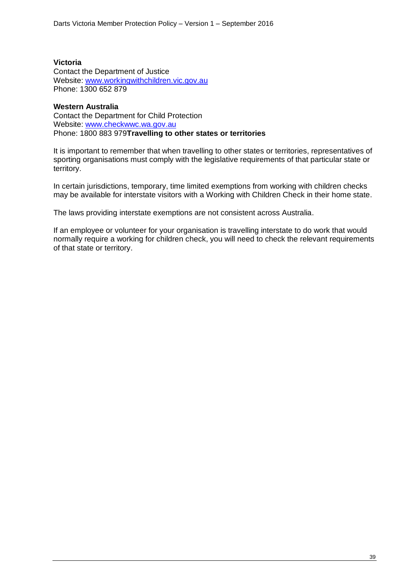## **Victoria**

Contact the Department of Justice Website: [www.workingwithchildren.vic.gov.au](http://www.workingwithchildren.vic.gov.au/) Phone: 1300 652 879

#### **Western Australia**

Contact the Department for Child Protection Website: [www.checkwwc.wa.gov.au](http://www.checkwwc.wa.gov.au/) Phone: 1800 883 979**Travelling to other states or territories**

It is important to remember that when travelling to other states or territories, representatives of sporting organisations must comply with the legislative requirements of that particular state or territory.

In certain jurisdictions, temporary, time limited exemptions from working with children checks may be available for interstate visitors with a Working with Children Check in their home state.

The laws providing interstate exemptions are not consistent across Australia.

If an employee or volunteer for your organisation is travelling interstate to do work that would normally require a working for children check, you will need to check the relevant requirements of that state or territory.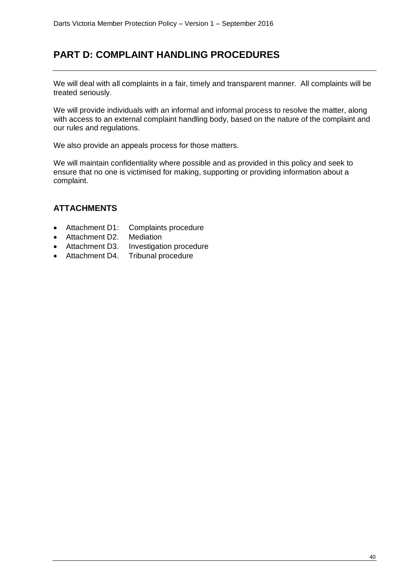## **PART D: COMPLAINT HANDLING PROCEDURES**

We will deal with all complaints in a fair, timely and transparent manner. All complaints will be treated seriously.

We will provide individuals with an informal and informal process to resolve the matter, along with access to an external complaint handling body, based on the nature of the complaint and our rules and regulations.

We also provide an appeals process for those matters.

We will maintain confidentiality where possible and as provided in this policy and seek to ensure that no one is victimised for making, supporting or providing information about a complaint.

## **ATTACHMENTS**

- Attachment D1: Complaints procedure
- Attachment D2. Mediation
- Attachment D3. Investigation procedure
- Attachment D4. Tribunal procedure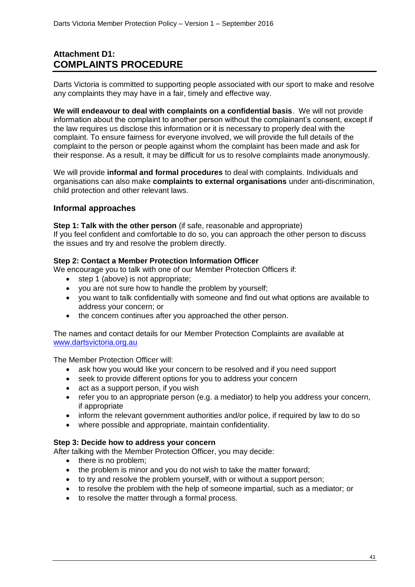## **Attachment D1: COMPLAINTS PROCEDURE**

Darts Victoria is committed to supporting people associated with our sport to make and resolve any complaints they may have in a fair, timely and effective way.

**We will endeavour to deal with complaints on a confidential basis**. We will not provide information about the complaint to another person without the complainant's consent, except if the law requires us disclose this information or it is necessary to properly deal with the complaint. To ensure fairness for everyone involved, we will provide the full details of the complaint to the person or people against whom the complaint has been made and ask for their response. As a result, it may be difficult for us to resolve complaints made anonymously.

We will provide **informal and formal procedures** to deal with complaints. Individuals and organisations can also make **complaints to external organisations** under anti-discrimination, child protection and other relevant laws.

## **Informal approaches**

#### **Step 1: Talk with the other person** (if safe, reasonable and appropriate)

If you feel confident and comfortable to do so, you can approach the other person to discuss the issues and try and resolve the problem directly.

## **Step 2: Contact a Member Protection Information Officer**

We encourage you to talk with one of our Member Protection Officers if:

- step 1 (above) is not appropriate;
- you are not sure how to handle the problem by yourself;
- you want to talk confidentially with someone and find out what options are available to address your concern; or
- the concern continues after you approached the other person.

The names and contact details for our Member Protection Complaints are available at [www.dartsvictoria.org.au](http://www.dartsvictoria.org.au/)

The Member Protection Officer will:

- ask how you would like your concern to be resolved and if you need support
- seek to provide different options for you to address your concern
- act as a support person, if you wish
- refer you to an appropriate person (e.g. a mediator) to help you address your concern, if appropriate
- inform the relevant government authorities and/or police, if required by law to do so
- where possible and appropriate, maintain confidentiality.

## **Step 3: Decide how to address your concern**

After talking with the Member Protection Officer, you may decide:

- there is no problem;
- the problem is minor and you do not wish to take the matter forward;
- to try and resolve the problem yourself, with or without a support person;
- to resolve the problem with the help of someone impartial, such as a mediator; or
- to resolve the matter through a formal process.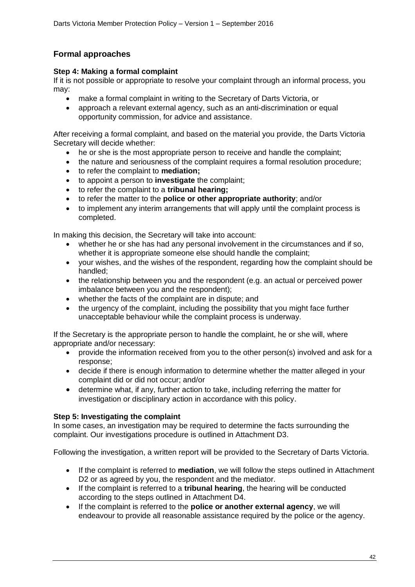## **Formal approaches**

## **Step 4: Making a formal complaint**

If it is not possible or appropriate to resolve your complaint through an informal process, you may:

- make a formal complaint in writing to the Secretary of Darts Victoria, or
- approach a relevant external agency, such as an anti-discrimination or equal opportunity commission, for advice and assistance.

After receiving a formal complaint, and based on the material you provide, the Darts Victoria Secretary will decide whether:

- he or she is the most appropriate person to receive and handle the complaint;
- the nature and seriousness of the complaint requires a formal resolution procedure;
- to refer the complaint to **mediation;**
- to appoint a person to **investigate** the complaint;
- to refer the complaint to a **tribunal hearing;**
- to refer the matter to the **police or other appropriate authority**; and/or
- to implement any interim arrangements that will apply until the complaint process is completed.

In making this decision, the Secretary will take into account:

- whether he or she has had any personal involvement in the circumstances and if so, whether it is appropriate someone else should handle the complaint;
- your wishes, and the wishes of the respondent, regarding how the complaint should be handled;
- the relationship between you and the respondent (e.g. an actual or perceived power imbalance between you and the respondent);
- whether the facts of the complaint are in dispute; and
- the urgency of the complaint, including the possibility that you might face further unacceptable behaviour while the complaint process is underway.

If the Secretary is the appropriate person to handle the complaint, he or she will, where appropriate and/or necessary:

- provide the information received from you to the other person(s) involved and ask for a response;
- decide if there is enough information to determine whether the matter alleged in your complaint did or did not occur; and/or
- determine what, if any, further action to take, including referring the matter for investigation or disciplinary action in accordance with this policy.

#### **Step 5: Investigating the complaint**

In some cases, an investigation may be required to determine the facts surrounding the complaint. Our investigations procedure is outlined in Attachment D3.

Following the investigation, a written report will be provided to the Secretary of Darts Victoria.

- If the complaint is referred to **mediation**, we will follow the steps outlined in Attachment D<sub>2</sub> or as agreed by you, the respondent and the mediator.
- If the complaint is referred to a **tribunal hearing**, the hearing will be conducted according to the steps outlined in Attachment D4.
- If the complaint is referred to the **police or another external agency**, we will endeavour to provide all reasonable assistance required by the police or the agency.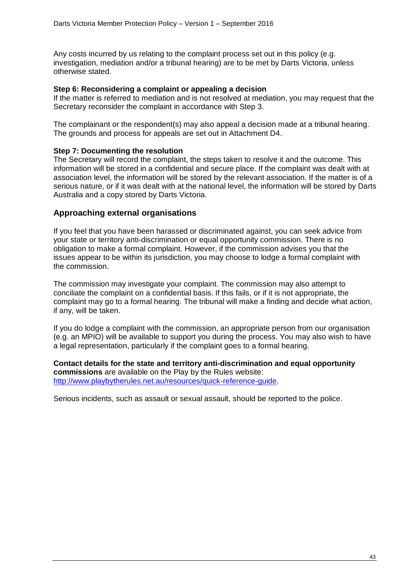Any costs incurred by us relating to the complaint process set out in this policy (e.g. investigation, mediation and/or a tribunal hearing) are to be met by Darts Victoria, unless otherwise stated.

#### **Step 6: Reconsidering a complaint or appealing a decision**

If the matter is referred to mediation and is not resolved at mediation, you may request that the Secretary reconsider the complaint in accordance with Step 3.

The complainant or the respondent(s) may also appeal a decision made at a tribunal hearing. The grounds and process for appeals are set out in Attachment D4.

#### **Step 7: Documenting the resolution**

The Secretary will record the complaint, the steps taken to resolve it and the outcome. This information will be stored in a confidential and secure place. If the complaint was dealt with at association level, the information will be stored by the relevant association. If the matter is of a serious nature, or if it was dealt with at the national level, the information will be stored by Darts Australia and a copy stored by Darts Victoria.

## **Approaching external organisations**

If you feel that you have been harassed or discriminated against, you can seek advice from your state or territory anti-discrimination or equal opportunity commission. There is no obligation to make a formal complaint. However, if the commission advises you that the issues appear to be within its jurisdiction, you may choose to lodge a formal complaint with the commission.

The commission may investigate your complaint. The commission may also attempt to conciliate the complaint on a confidential basis. If this fails, or if it is not appropriate, the complaint may go to a formal hearing. The tribunal will make a finding and decide what action, if any, will be taken.

If you do lodge a complaint with the commission, an appropriate person from our organisation (e.g. an MPIO) will be available to support you during the process. You may also wish to have a legal representation, particularly if the complaint goes to a formal hearing.

**Contact details for the state and territory anti-discrimination and equal opportunity commissions** are available on the Play by the Rules website: [http://www.playbytherules.net.au/resources/quick-reference-guide.](http://www.playbytherules.net.au/resources/quick-reference-guide)

Serious incidents, such as assault or sexual assault, should be reported to the police.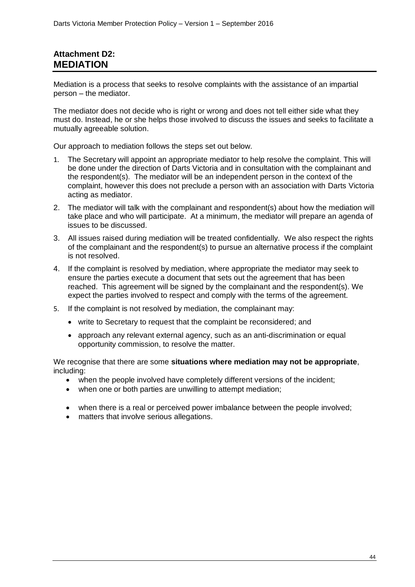## **Attachment D2: MEDIATION**

Mediation is a process that seeks to resolve complaints with the assistance of an impartial person – the mediator.

The mediator does not decide who is right or wrong and does not tell either side what they must do. Instead, he or she helps those involved to discuss the issues and seeks to facilitate a mutually agreeable solution.

Our approach to mediation follows the steps set out below*.*

- 1. The Secretary will appoint an appropriate mediator to help resolve the complaint. This will be done under the direction of Darts Victoria and in consultation with the complainant and the respondent(s). The mediator will be an independent person in the context of the complaint, however this does not preclude a person with an association with Darts Victoria acting as mediator.
- 2. The mediator will talk with the complainant and respondent(s) about how the mediation will take place and who will participate. At a minimum, the mediator will prepare an agenda of issues to be discussed.
- 3. All issues raised during mediation will be treated confidentially. We also respect the rights of the complainant and the respondent(s) to pursue an alternative process if the complaint is not resolved.
- 4. If the complaint is resolved by mediation, where appropriate the mediator may seek to ensure the parties execute a document that sets out the agreement that has been reached. This agreement will be signed by the complainant and the respondent(s). We expect the parties involved to respect and comply with the terms of the agreement.
- 5. If the complaint is not resolved by mediation, the complainant may:
	- write to Secretary to request that the complaint be reconsidered; and
	- approach any relevant external agency, such as an anti-discrimination or equal opportunity commission, to resolve the matter.

We recognise that there are some **situations where mediation may not be appropriate**, including:

- when the people involved have completely different versions of the incident;
- when one or both parties are unwilling to attempt mediation;
- when there is a real or perceived power imbalance between the people involved;
- matters that involve serious allegations.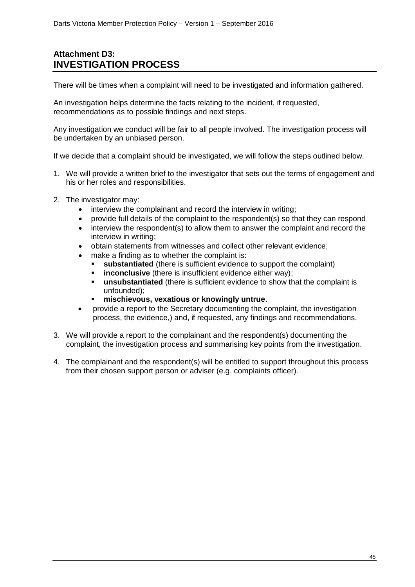## **Attachment D3: INVESTIGATION PROCESS**

There will be times when a complaint will need to be investigated and information gathered.

An investigation helps determine the facts relating to the incident, if requested, recommendations as to possible findings and next steps.

Any investigation we conduct will be fair to all people involved. The investigation process will be undertaken by an unbiased person.

If we decide that a complaint should be investigated, we will follow the steps outlined below.

- 1. We will provide a written brief to the investigator that sets out the terms of engagement and his or her roles and responsibilities.
- 2. The investigator may:
	- interview the complainant and record the interview in writing;
	- provide full details of the complaint to the respondent(s) so that they can respond
	- interview the respondent(s) to allow them to answer the complaint and record the interview in writing;
	- obtain statements from witnesses and collect other relevant evidence;
	- make a finding as to whether the complaint is:
		- **substantiated** (there is sufficient evidence to support the complaint)
		- **inconclusive** (there is insufficient evidence either way);
		- **unsubstantiated** (there is sufficient evidence to show that the complaint is unfounded);
		- **mischievous, vexatious or knowingly untrue**.
	- provide a report to the Secretary documenting the complaint, the investigation process, the evidence,) and, if requested, any findings and recommendations.
- 3. We will provide a report to the complainant and the respondent(s) documenting the complaint, the investigation process and summarising key points from the investigation.
- 4. The complainant and the respondent(s) will be entitled to support throughout this process from their chosen support person or adviser (e.g. complaints officer).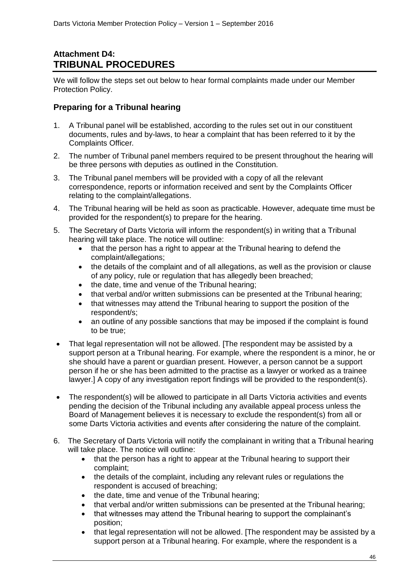## **Attachment D4: TRIBUNAL PROCEDURES**

We will follow the steps set out below to hear formal complaints made under our Member Protection Policy.

## **Preparing for a Tribunal hearing**

- 1. A Tribunal panel will be established, according to the rules set out in our constituent documents, rules and by-laws, to hear a complaint that has been referred to it by the Complaints Officer*.*
- 2. The number of Tribunal panel members required to be present throughout the hearing will be three persons with deputies as outlined in the Constitution*.*
- 3. The Tribunal panel members will be provided with a copy of all the relevant correspondence, reports or information received and sent by the Complaints Officer relating to the complaint/allegations.
- 4. The Tribunal hearing will be held as soon as practicable. However, adequate time must be provided for the respondent(s) to prepare for the hearing.
- 5. The Secretary of Darts Victoria will inform the respondent(s) in writing that a Tribunal hearing will take place. The notice will outline:
	- that the person has a right to appear at the Tribunal hearing to defend the complaint/allegations;
	- the details of the complaint and of all allegations, as well as the provision or clause of any policy, rule or regulation that has allegedly been breached;
	- the date, time and venue of the Tribunal hearing;
	- that verbal and/or written submissions can be presented at the Tribunal hearing;
	- that witnesses may attend the Tribunal hearing to support the position of the respondent/s;
	- an outline of any possible sanctions that may be imposed if the complaint is found to be true;
- That legal representation will not be allowed. [The respondent may be assisted by a support person at a Tribunal hearing. For example, where the respondent is a minor, he or she should have a parent or guardian present. However, a person cannot be a support person if he or she has been admitted to the practise as a lawyer or worked as a trainee lawyer.] A copy of any investigation report findings will be provided to the respondent(s).
- The respondent(s) will be allowed to participate in all Darts Victoria activities and events pending the decision of the Tribunal including any available appeal process unless the Board of Management believes it is necessary to exclude the respondent(s) from all or some Darts Victoria activities and events after considering the nature of the complaint.
- 6. The Secretary of Darts Victoria will notify the complainant in writing that a Tribunal hearing will take place. The notice will outline:
	- that the person has a right to appear at the Tribunal hearing to support their complaint;
	- the details of the complaint, including any relevant rules or regulations the respondent is accused of breaching;
	- the date, time and venue of the Tribunal hearing;
	- that verbal and/or written submissions can be presented at the Tribunal hearing;
	- that witnesses may attend the Tribunal hearing to support the complainant's position;
	- that legal representation will not be allowed. [The respondent may be assisted by a support person at a Tribunal hearing. For example, where the respondent is a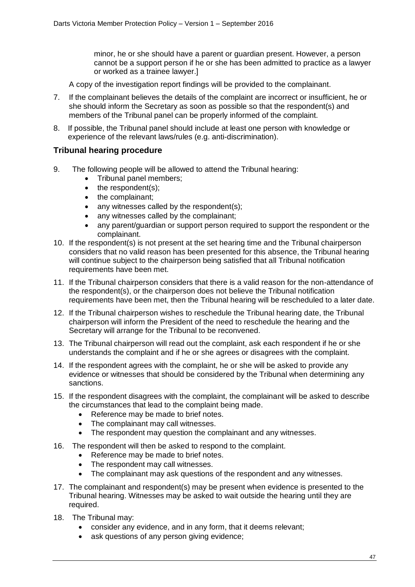minor, he or she should have a parent or guardian present. However, a person cannot be a support person if he or she has been admitted to practice as a lawyer or worked as a trainee lawyer.]

- A copy of the investigation report findings will be provided to the complainant.
- 7. If the complainant believes the details of the complaint are incorrect or insufficient, he or she should inform the Secretary as soon as possible so that the respondent(s) and members of the Tribunal panel can be properly informed of the complaint.
- 8. If possible, the Tribunal panel should include at least one person with knowledge or experience of the relevant laws/rules (e.g. anti-discrimination).

## **Tribunal hearing procedure**

- 9. The following people will be allowed to attend the Tribunal hearing:
	- Tribunal panel members;
	- $\bullet$  the respondent(s):
	- the complainant:
	- any witnesses called by the respondent(s);
	- any witnesses called by the complainant;
	- any parent/guardian or support person required to support the respondent or the complainant.
- 10. If the respondent(s) is not present at the set hearing time and the Tribunal chairperson considers that no valid reason has been presented for this absence, the Tribunal hearing will continue subject to the chairperson being satisfied that all Tribunal notification requirements have been met.
- 11. If the Tribunal chairperson considers that there is a valid reason for the non-attendance of the respondent(s), or the chairperson does not believe the Tribunal notification requirements have been met, then the Tribunal hearing will be rescheduled to a later date.
- 12. If the Tribunal chairperson wishes to reschedule the Tribunal hearing date, the Tribunal chairperson will inform the President of the need to reschedule the hearing and the Secretary will arrange for the Tribunal to be reconvened.
- 13. The Tribunal chairperson will read out the complaint, ask each respondent if he or she understands the complaint and if he or she agrees or disagrees with the complaint.
- 14. If the respondent agrees with the complaint, he or she will be asked to provide any evidence or witnesses that should be considered by the Tribunal when determining any sanctions.
- 15. If the respondent disagrees with the complaint, the complainant will be asked to describe the circumstances that lead to the complaint being made.
	- Reference may be made to brief notes.
	- The complainant may call witnesses.
	- The respondent may question the complainant and any witnesses.
- 16. The respondent will then be asked to respond to the complaint.
	- Reference may be made to brief notes.
	- The respondent may call witnesses.
	- The complainant may ask questions of the respondent and any witnesses.
- 17. The complainant and respondent(s) may be present when evidence is presented to the Tribunal hearing. Witnesses may be asked to wait outside the hearing until they are required.
- 18. The Tribunal may:
	- consider any evidence, and in any form, that it deems relevant;
	- ask questions of any person giving evidence;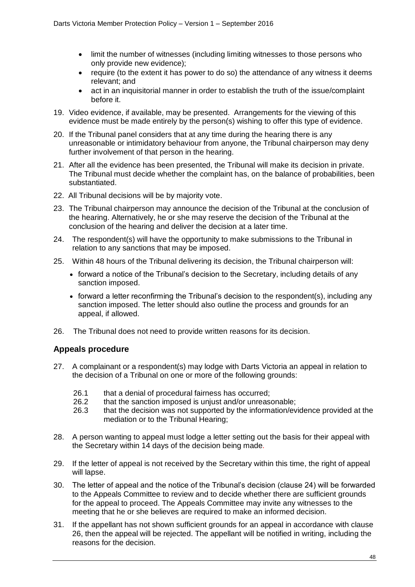- limit the number of witnesses (including limiting witnesses to those persons who only provide new evidence);
- require (to the extent it has power to do so) the attendance of any witness it deems relevant; and
- act in an inquisitorial manner in order to establish the truth of the issue/complaint before it.
- 19. Video evidence, if available, may be presented. Arrangements for the viewing of this evidence must be made entirely by the person(s) wishing to offer this type of evidence.
- 20. If the Tribunal panel considers that at any time during the hearing there is any unreasonable or intimidatory behaviour from anyone, the Tribunal chairperson may deny further involvement of that person in the hearing.
- 21. After all the evidence has been presented, the Tribunal will make its decision in private. The Tribunal must decide whether the complaint has, on the balance of probabilities, been substantiated.
- 22. All Tribunal decisions will be by majority vote.
- 23. The Tribunal chairperson may announce the decision of the Tribunal at the conclusion of the hearing. Alternatively, he or she may reserve the decision of the Tribunal at the conclusion of the hearing and deliver the decision at a later time.
- 24. The respondent(s) will have the opportunity to make submissions to the Tribunal in relation to any sanctions that may be imposed.
- 25. Within 48 hours of the Tribunal delivering its decision, the Tribunal chairperson will:
	- forward a notice of the Tribunal's decision to the Secretary, including details of any sanction imposed.
	- forward a letter reconfirming the Tribunal's decision to the respondent(s), including any sanction imposed. The letter should also outline the process and grounds for an appeal, if allowed.
- 26. The Tribunal does not need to provide written reasons for its decision.

## **Appeals procedure**

- 27. A complainant or a respondent(s) may lodge with Darts Victoria an appeal in relation to the decision of a Tribunal on one or more of the following grounds:
	- 26.1 that a denial of procedural fairness has occurred;
	- 26.2 that the sanction imposed is unjust and/or unreasonable;
	- 26.3 that the decision was not supported by the information/evidence provided at the mediation or to the Tribunal Hearing;
- 28. A person wanting to appeal must lodge a letter setting out the basis for their appeal with the Secretary within 14 days of the decision being made*.*
- 29. If the letter of appeal is not received by the Secretary within this time, the right of appeal will lapse.
- 30. The letter of appeal and the notice of the Tribunal's decision (clause 24) will be forwarded to the Appeals Committee to review and to decide whether there are sufficient grounds for the appeal to proceed. The Appeals Committee may invite any witnesses to the meeting that he or she believes are required to make an informed decision.
- 31. If the appellant has not shown sufficient grounds for an appeal in accordance with clause 26, then the appeal will be rejected. The appellant will be notified in writing, including the reasons for the decision.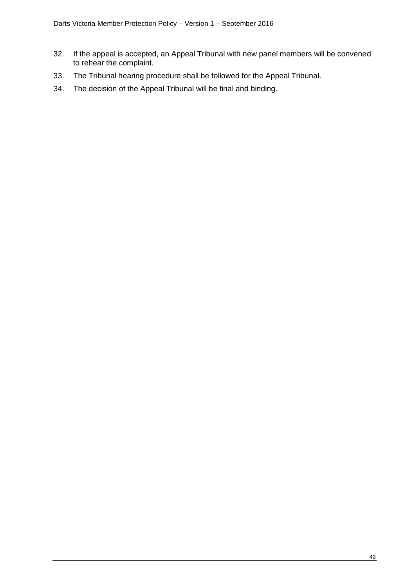- 32. If the appeal is accepted, an Appeal Tribunal with new panel members will be convened to rehear the complaint.
- 33. The Tribunal hearing procedure shall be followed for the Appeal Tribunal.
- 34. The decision of the Appeal Tribunal will be final and binding.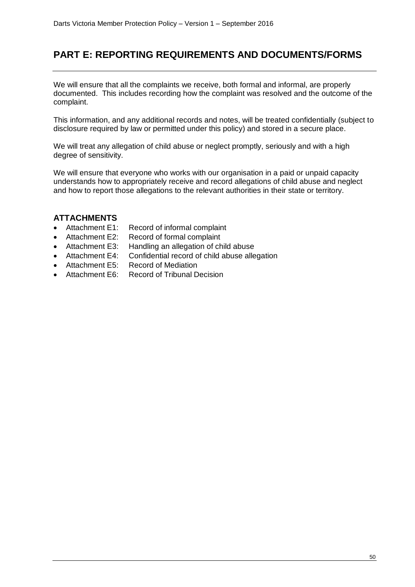## **PART E: REPORTING REQUIREMENTS AND DOCUMENTS/FORMS**

We will ensure that all the complaints we receive, both formal and informal, are properly documented. This includes recording how the complaint was resolved and the outcome of the complaint.

This information, and any additional records and notes, will be treated confidentially (subject to disclosure required by law or permitted under this policy) and stored in a secure place.

We will treat any allegation of child abuse or neglect promptly, seriously and with a high degree of sensitivity.

We will ensure that everyone who works with our organisation in a paid or unpaid capacity understands how to appropriately receive and record allegations of child abuse and neglect and how to report those allegations to the relevant authorities in their state or territory.

## **ATTACHMENTS**

- Attachment E1: Record of informal complaint
- Attachment E2: Record of formal complaint
- Attachment E3: Handling an allegation of child abuse
- Attachment E4: Confidential record of child abuse allegation
- Attachment E5: Record of Mediation
- Attachment F6: Record of Tribunal Decision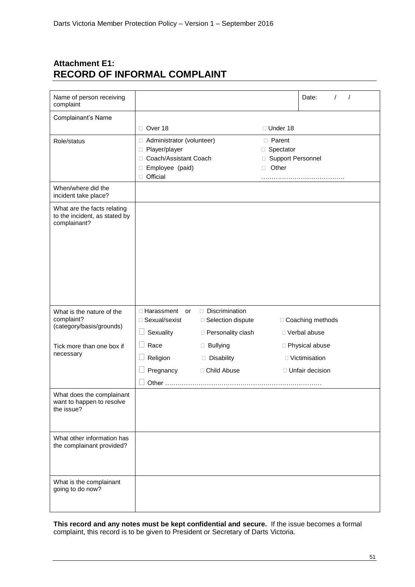## **Attachment E1: RECORD OF INFORMAL COMPLAINT**

| Name of person receiving<br>complaint                                        |                                       |                     |                     | Date:<br>$\prime$<br>$\sqrt{ }$ |
|------------------------------------------------------------------------------|---------------------------------------|---------------------|---------------------|---------------------------------|
| Complainant's Name                                                           |                                       |                     |                     |                                 |
|                                                                              | $\Box$ Over 18                        |                     | $\Box$ Under 18     |                                 |
| Role/status                                                                  | □ Administrator (volunteer)           |                     | <b>D</b> Parent     |                                 |
|                                                                              | □ Player/player                       |                     | □ Spectator         |                                 |
|                                                                              | Coach/Assistant Coach<br>O.           |                     | □ Support Personnel |                                 |
|                                                                              | Employee (paid)<br>$\Box$<br>Official |                     | Other<br>$\Box$     |                                 |
| When/where did the                                                           |                                       |                     |                     |                                 |
| incident take place?                                                         |                                       |                     |                     |                                 |
| What are the facts relating<br>to the incident, as stated by<br>complainant? |                                       |                     |                     |                                 |
| What is the nature of the                                                    | □ Harassment<br>or                    | Discrimination      |                     |                                 |
| complaint?<br>(category/basis/grounds)                                       | □ Sexual/sexist                       | □ Selection dispute |                     | □ Coaching methods              |
|                                                                              | Sexuality                             | □ Personality clash |                     | □ Verbal abuse                  |
| Tick more than one box if                                                    | Race                                  | <b>Bullying</b>     |                     | □ Physical abuse                |
| necessary                                                                    | Religion                              | Disability          |                     | □ Victimisation                 |
|                                                                              | Pregnancy                             | □ Child Abuse       |                     | □ Unfair decision               |
|                                                                              |                                       |                     |                     |                                 |
| What does the complainant<br>want to happen to resolve<br>the issue?         |                                       |                     |                     |                                 |
| What other information has<br>the complainant provided?                      |                                       |                     |                     |                                 |
| What is the complainant<br>going to do now?                                  |                                       |                     |                     |                                 |

**This record and any notes must be kept confidential and secure.** If the issue becomes a formal complaint, this record is to be given to President or Secretary of Darts Victoria.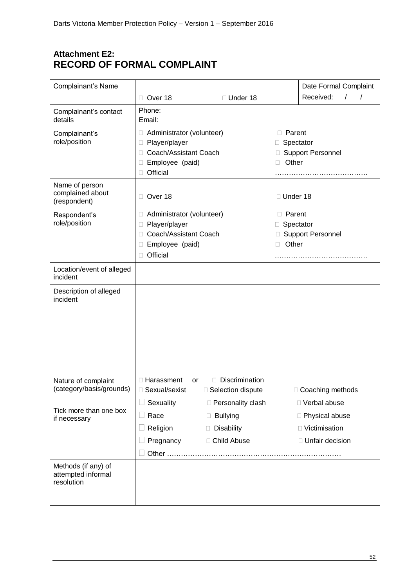## **Attachment E2: RECORD OF FORMAL COMPLAINT**

| Complainant's Name                                      |                                                                                                                                  |                                                                       |                                            | Date Formal Complaint                                                      |  |
|---------------------------------------------------------|----------------------------------------------------------------------------------------------------------------------------------|-----------------------------------------------------------------------|--------------------------------------------|----------------------------------------------------------------------------|--|
|                                                         | Over 18<br>П.                                                                                                                    | □ Under 18                                                            |                                            | Received:<br>$\prime$<br>$\prime$                                          |  |
| Complainant's contact<br>details                        | Phone:<br>Email:                                                                                                                 |                                                                       |                                            |                                                                            |  |
| Complainant's<br>role/position                          | □ Administrator (volunteer)<br>Player/player<br>□<br>Coach/Assistant Coach<br>П<br>Employee (paid)<br>Official<br>П              |                                                                       | <b>D</b> Parent<br>Spectator<br>Other<br>П | <b>Support Personnel</b>                                                   |  |
| Name of person<br>complained about<br>(respondent)      | Over 18<br>$\Box$                                                                                                                |                                                                       | □ Under 18                                 |                                                                            |  |
| Respondent's<br>role/position                           | Administrator (volunteer)<br>□<br>Player/player<br>Ш<br>Coach/Assistant Coach<br>П<br>Employee (paid)<br>П<br>□<br>Official<br>П |                                                                       |                                            | $\Box$ Parent<br>Spectator<br><b>Support Personnel</b><br>Other            |  |
| Location/event of alleged<br>incident                   |                                                                                                                                  |                                                                       |                                            |                                                                            |  |
| Description of alleged<br>incident                      |                                                                                                                                  |                                                                       |                                            |                                                                            |  |
| Nature of complaint<br>(category/basis/grounds)         | □ Harassment<br>or<br>□ Sexual/sexist                                                                                            | Discrimination<br>□ Selection dispute                                 |                                            | □ Coaching methods                                                         |  |
| Tick more than one box<br>if necessary                  | Sexuality<br>Race<br>$\Box$<br>Religion<br>Pregnancy                                                                             | □ Personality clash<br><b>Bullying</b><br>Disability<br>□ Child Abuse |                                            | □ Verbal abuse<br>□ Physical abuse<br>□ Victimisation<br>□ Unfair decision |  |
| Methods (if any) of<br>attempted informal<br>resolution |                                                                                                                                  |                                                                       |                                            |                                                                            |  |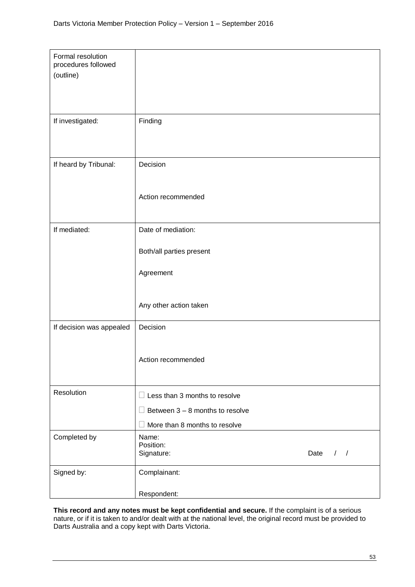| Formal resolution<br>procedures followed<br>(outline) |                                      |
|-------------------------------------------------------|--------------------------------------|
|                                                       |                                      |
| If investigated:                                      | Finding                              |
| If heard by Tribunal:                                 | Decision                             |
|                                                       | Action recommended                   |
| If mediated:                                          | Date of mediation:                   |
|                                                       | Both/all parties present             |
|                                                       | Agreement                            |
|                                                       | Any other action taken               |
| If decision was appealed                              | Decision                             |
|                                                       | Action recommended                   |
| Resolution                                            | $\Box$ Less than 3 months to resolve |
|                                                       | Between $3 - 8$ months to resolve    |
|                                                       | More than 8 months to resolve        |
| Completed by                                          | Name:<br>Position:                   |
|                                                       | Signature:<br>Date<br>$\frac{1}{2}$  |
| Signed by:                                            | Complainant:                         |
|                                                       | Respondent:                          |

**This record and any notes must be kept confidential and secure.** If the complaint is of a serious nature, or if it is taken to and/or dealt with at the national level, the original record must be provided to Darts Australia and a copy kept with Darts Victoria.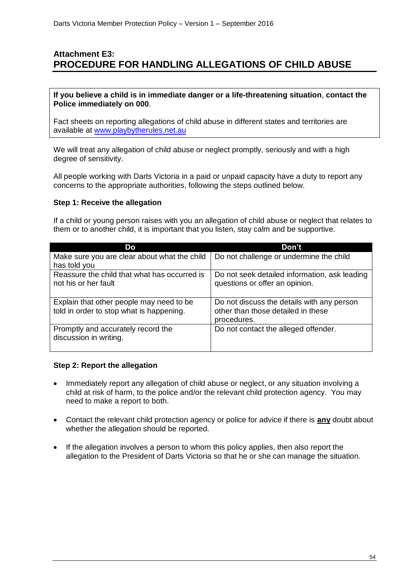## **Attachment E3: PROCEDURE FOR HANDLING ALLEGATIONS OF CHILD ABUSE**

**If you believe a child is in immediate danger or a life-threatening situation**, **contact the Police immediately on 000**.

Fact sheets on reporting allegations of child abuse in different states and territories are available at [www.playbytherules.net.au](http://www.playbytherules.net.au/)

We will treat any allegation of child abuse or neglect promptly, seriously and with a high degree of sensitivity.

All people working with Darts Victoria in a paid or unpaid capacity have a duty to report any concerns to the appropriate authorities, following the steps outlined below.

#### **Step 1: Receive the allegation**

If a child or young person raises with you an allegation of child abuse or neglect that relates to them or to another child, it is important that you listen, stay calm and be supportive.

| Do                                                                                   | Don't                                                                                           |
|--------------------------------------------------------------------------------------|-------------------------------------------------------------------------------------------------|
| Make sure you are clear about what the child<br>has told you                         | Do not challenge or undermine the child                                                         |
| Reassure the child that what has occurred is<br>not his or her fault                 | Do not seek detailed information, ask leading<br>questions or offer an opinion.                 |
| Explain that other people may need to be<br>told in order to stop what is happening. | Do not discuss the details with any person<br>other than those detailed in these<br>procedures. |
| Promptly and accurately record the<br>discussion in writing.                         | Do not contact the alleged offender.                                                            |

## **Step 2: Report the allegation**

- Immediately report any allegation of child abuse or neglect, or any situation involving a child at risk of harm, to the police and/or the relevant child protection agency. You may need to make a report to both.
- Contact the relevant child protection agency or police for advice if there is **any** doubt about whether the allegation should be reported.
- If the allegation involves a person to whom this policy applies, then also report the allegation to the President of Darts Victoria so that he or she can manage the situation.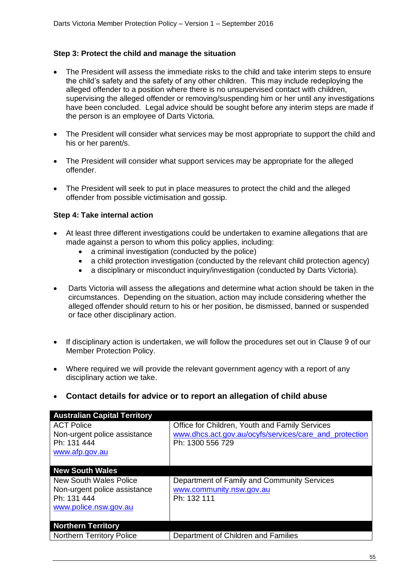## **Step 3: Protect the child and manage the situation**

- The President will assess the immediate risks to the child and take interim steps to ensure the child's safety and the safety of any other children. This may include redeploying the alleged offender to a position where there is no unsupervised contact with children, supervising the alleged offender or removing/suspending him or her until any investigations have been concluded. Legal advice should be sought before any interim steps are made if the person is an employee of Darts Victoria*.*
- The President will consider what services may be most appropriate to support the child and his or her parent/s.
- The President will consider what support services may be appropriate for the alleged offender.
- The President will seek to put in place measures to protect the child and the alleged offender from possible victimisation and gossip.

## **Step 4: Take internal action**

- At least three different investigations could be undertaken to examine allegations that are made against a person to whom this policy applies, including:
	- a criminal investigation (conducted by the police)
	- a child protection investigation (conducted by the relevant child protection agency)
	- a disciplinary or misconduct inquiry/investigation (conducted by Darts Victoria).
- Darts Victoria will assess the allegations and determine what action should be taken in the circumstances. Depending on the situation, action may include considering whether the alleged offender should return to his or her position, be dismissed, banned or suspended or face other disciplinary action.
- If disciplinary action is undertaken, we will follow the procedures set out in Clause 9 of our Member Protection Policy.
- Where required we will provide the relevant government agency with a report of any disciplinary action we take.
- **Contact details for advice or to report an allegation of child abuse**

| <b>Australian Capital Territory</b> |                                                        |
|-------------------------------------|--------------------------------------------------------|
| <b>ACT Police</b>                   | Office for Children, Youth and Family Services         |
| Non-urgent police assistance        | www.dhcs.act.gov.au/ocyfs/services/care_and_protection |
| Ph: 131 444                         | Ph: 1300 556 729                                       |
| www.afp.gov.au                      |                                                        |
|                                     |                                                        |
| <b>New South Wales</b>              |                                                        |
| New South Wales Police              | Department of Family and Community Services            |
| Non-urgent police assistance        | www.community.nsw.gov.au                               |
| Ph: 131 444                         | Ph: 132 111                                            |
| www.police.nsw.gov.au               |                                                        |
|                                     |                                                        |
| <b>Northern Territory</b>           |                                                        |
| <b>Northern Territory Police</b>    | Department of Children and Families                    |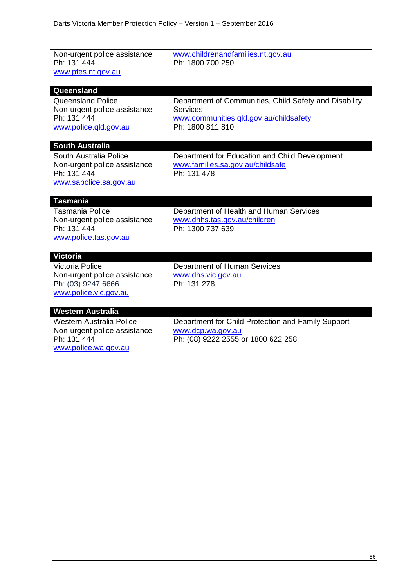| Non-urgent police assistance<br>Ph: 131 444<br>www.pfes.nt.gov.au                                     | www.childrenandfamilies.nt.gov.au<br>Ph: 1800 700 250                                                                                   |
|-------------------------------------------------------------------------------------------------------|-----------------------------------------------------------------------------------------------------------------------------------------|
| Queensland                                                                                            |                                                                                                                                         |
| Queensland Police<br>Non-urgent police assistance<br>Ph: 131 444<br>www.police.qld.gov.au             | Department of Communities, Child Safety and Disability<br><b>Services</b><br>www.communities.gld.gov.au/childsafety<br>Ph: 1800 811 810 |
| <b>South Australia</b>                                                                                |                                                                                                                                         |
| South Australia Police<br>Non-urgent police assistance<br>Ph: 131 444<br>www.sapolice.sa.gov.au       | Department for Education and Child Development<br>www.families.sa.gov.au/childsafe<br>Ph: 131 478                                       |
| <b>Tasmania</b>                                                                                       |                                                                                                                                         |
| <b>Tasmania Police</b><br>Non-urgent police assistance<br>Ph: 131 444<br>www.police.tas.gov.au        | Department of Health and Human Services<br>www.dhhs.tas.gov.au/children<br>Ph: 1300 737 639                                             |
| <b>Victoria</b>                                                                                       |                                                                                                                                         |
| <b>Victoria Police</b><br>Non-urgent police assistance<br>Ph: (03) 9247 6666<br>www.police.vic.gov.au | <b>Department of Human Services</b><br>www.dhs.vic.gov.au<br>Ph: 131 278                                                                |
| <b>Western Australia</b>                                                                              |                                                                                                                                         |
| Western Australia Police<br>Non-urgent police assistance<br>Ph: 131 444<br>www.police.wa.gov.au       | Department for Child Protection and Family Support<br>www.dcp.wa.gov.au<br>Ph: (08) 9222 2555 or 1800 622 258                           |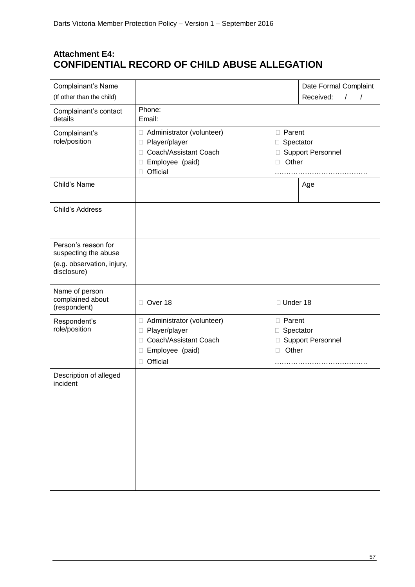## **Attachment E4: CONFIDENTIAL RECORD OF CHILD ABUSE ALLEGATION**

| Complainant's Name<br>(If other than the child)    |                                                                                                                                       |                                                                | Date Formal Complaint<br>Received:<br>$\prime$<br>$\prime$ |
|----------------------------------------------------|---------------------------------------------------------------------------------------------------------------------------------------|----------------------------------------------------------------|------------------------------------------------------------|
| Complainant's contact<br>details                   | Phone:<br>Email:                                                                                                                      |                                                                |                                                            |
| Complainant's<br>role/position                     | Administrator (volunteer)<br>Player/player<br>□<br>П<br>Coach/Assistant Coach<br>$\Box$<br>Employee (paid)<br>П<br>ш<br>Official<br>П | <b>D</b> Parent<br>Spectator<br>Other                          | □ Support Personnel                                        |
| Child's Name                                       |                                                                                                                                       |                                                                | Age                                                        |
| Child's Address                                    |                                                                                                                                       |                                                                |                                                            |
| Person's reason for<br>suspecting the abuse        |                                                                                                                                       |                                                                |                                                            |
| (e.g. observation, injury,<br>disclosure)          |                                                                                                                                       |                                                                |                                                            |
| Name of person<br>complained about<br>(respondent) | Over 18<br>$\Box$                                                                                                                     | □ Under 18                                                     |                                                            |
| Respondent's<br>role/position                      | Administrator (volunteer)<br>□ Player/player                                                                                          | <b>D</b> Parent<br>□ Spectator<br>□ Support Personnel<br>Other |                                                            |
|                                                    | Coach/Assistant Coach<br>$\Box$<br>Employee (paid)<br>L<br>□ Official                                                                 |                                                                |                                                            |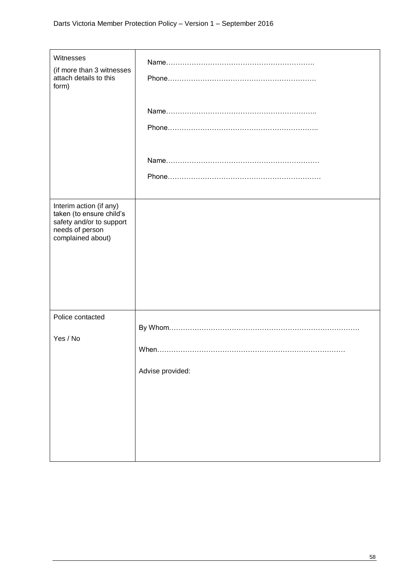| Witnesses<br>(if more than 3 witnesses<br>attach details to this<br>form)                                               |                  |
|-------------------------------------------------------------------------------------------------------------------------|------------------|
|                                                                                                                         |                  |
|                                                                                                                         |                  |
| Interim action (if any)<br>taken (to ensure child's<br>safety and/or to support<br>needs of person<br>complained about) |                  |
| Police contacted<br>Yes / No                                                                                            | Advise provided: |
|                                                                                                                         |                  |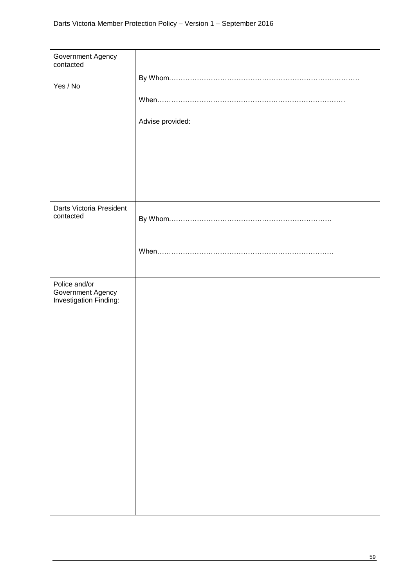| Government Agency                                            |                  |
|--------------------------------------------------------------|------------------|
| contacted                                                    |                  |
| Yes / No                                                     | Advise provided: |
| Darts Victoria President                                     |                  |
| contacted                                                    |                  |
| Police and/or<br>Government Agency<br>Investigation Finding: |                  |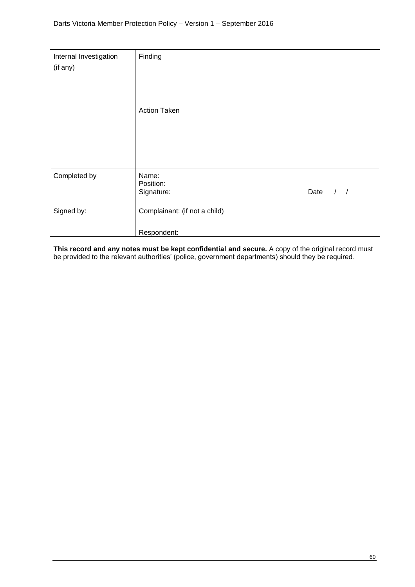| Internal Investigation<br>(if any) | Finding<br><b>Action Taken</b>               |      |               |
|------------------------------------|----------------------------------------------|------|---------------|
| Completed by                       | Name:<br>Position:<br>Signature:             | Date | $\frac{1}{2}$ |
| Signed by:                         | Complainant: (if not a child)<br>Respondent: |      |               |

**This record and any notes must be kept confidential and secure.** A copy of the original record must be provided to the relevant authorities' (police, government departments) should they be required.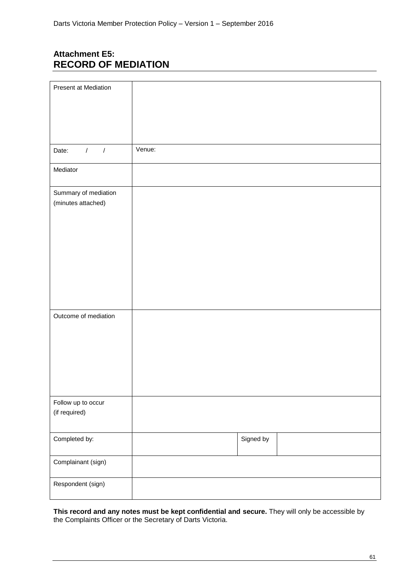## **Attachment E5: RECORD OF MEDIATION**

| Present at Mediation                       |        |           |  |
|--------------------------------------------|--------|-----------|--|
|                                            |        |           |  |
|                                            |        |           |  |
|                                            |        |           |  |
| $1$ $1$<br>Date:                           | Venue: |           |  |
| Mediator                                   |        |           |  |
| Summary of mediation<br>(minutes attached) |        |           |  |
|                                            |        |           |  |
|                                            |        |           |  |
|                                            |        |           |  |
|                                            |        |           |  |
|                                            |        |           |  |
|                                            |        |           |  |
| Outcome of mediation                       |        |           |  |
|                                            |        |           |  |
|                                            |        |           |  |
|                                            |        |           |  |
|                                            |        |           |  |
| Follow up to occur<br>(if required)        |        |           |  |
| Completed by:                              |        | Signed by |  |
| Complainant (sign)                         |        |           |  |
| Respondent (sign)                          |        |           |  |

**This record and any notes must be kept confidential and secure.** They will only be accessible by the Complaints Officer or the Secretary of Darts Victoria.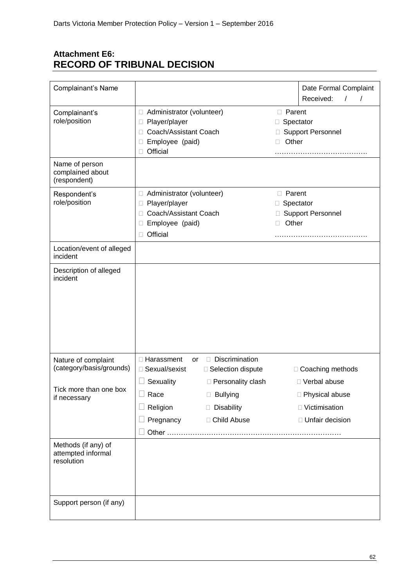## **Attachment E6: RECORD OF TRIBUNAL DECISION**

| Complainant's Name                                      |                                                                                                                               |                                                                       |                                                                             | Date Formal Complaint<br>Received:<br>$\prime$                             |
|---------------------------------------------------------|-------------------------------------------------------------------------------------------------------------------------------|-----------------------------------------------------------------------|-----------------------------------------------------------------------------|----------------------------------------------------------------------------|
| Complainant's<br>role/position                          | □ Administrator (volunteer)<br>Player/player<br>□<br>Coach/Assistant Coach<br>□<br>Employee (paid)<br>Ш<br>Official           |                                                                       | <b>D</b> Parent<br>Spectator<br>$\Box$<br><b>Support Personnel</b><br>Other |                                                                            |
| Name of person<br>complained about<br>(respondent)      |                                                                                                                               |                                                                       |                                                                             |                                                                            |
| Respondent's<br>role/position                           | □ Administrator (volunteer)<br>Player/player<br>$\Box$<br>Coach/Assistant Coach<br>ш<br>Employee (paid)<br>ш<br>Official<br>П |                                                                       | <b>D</b> Parent<br>□<br>Other<br>П                                          | Spectator<br><b>Support Personnel</b>                                      |
| Location/event of alleged<br>incident                   |                                                                                                                               |                                                                       |                                                                             |                                                                            |
| Description of alleged<br>incident                      |                                                                                                                               |                                                                       |                                                                             |                                                                            |
| Nature of complaint<br>(category/basis/grounds)         | □ Harassment<br>or<br>□ Sexual/sexist                                                                                         | Discrimination<br>$\Box$<br>□ Selection dispute                       |                                                                             | □ Coaching methods                                                         |
| Tick more than one box<br>if necessary                  | Sexuality<br>Race<br>Religion<br>Pregnancy                                                                                    | □ Personality clash<br><b>Bullying</b><br>Disability<br>□ Child Abuse |                                                                             | □ Verbal abuse<br>□ Physical abuse<br>□ Victimisation<br>□ Unfair decision |
|                                                         |                                                                                                                               |                                                                       |                                                                             |                                                                            |
| Methods (if any) of<br>attempted informal<br>resolution |                                                                                                                               |                                                                       |                                                                             |                                                                            |
| Support person (if any)                                 |                                                                                                                               |                                                                       |                                                                             |                                                                            |